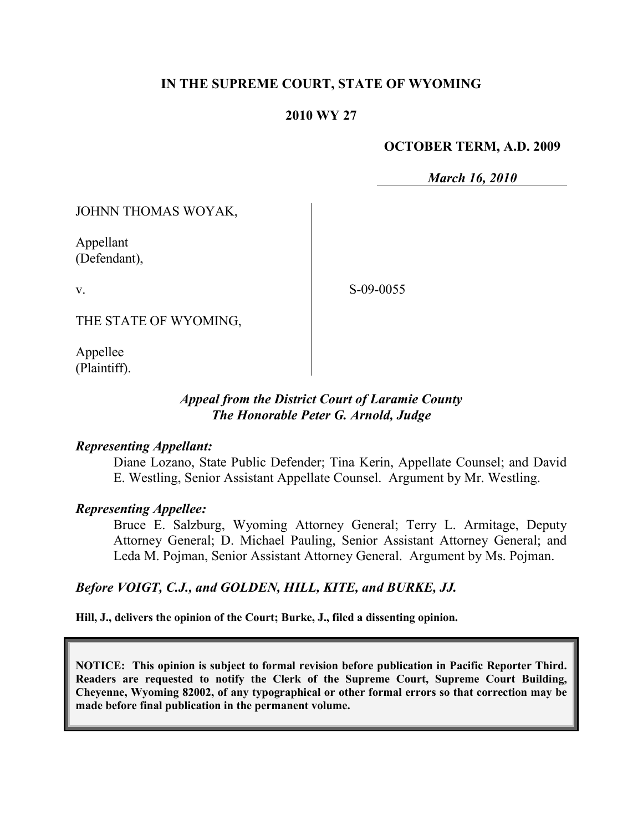# **IN THE SUPREME COURT, STATE OF WYOMING**

## **2010 WY 27**

## **OCTOBER TERM, A.D. 2009**

*March 16, 2010*

JOHNN THOMAS WOYAK,

Appellant (Defendant),

S-09-0055

THE STATE OF WYOMING,

Appellee (Plaintiff).

v.

# *Appeal from the District Court of Laramie County The Honorable Peter G. Arnold, Judge*

## *Representing Appellant:*

Diane Lozano, State Public Defender; Tina Kerin, Appellate Counsel; and David E. Westling, Senior Assistant Appellate Counsel. Argument by Mr. Westling.

## *Representing Appellee:*

Bruce E. Salzburg, Wyoming Attorney General; Terry L. Armitage, Deputy Attorney General; D. Michael Pauling, Senior Assistant Attorney General; and Leda M. Pojman, Senior Assistant Attorney General. Argument by Ms. Pojman.

## *Before VOIGT, C.J., and GOLDEN, HILL, KITE, and BURKE, JJ.*

**Hill, J., delivers the opinion of the Court; Burke, J., filed a dissenting opinion.**

**NOTICE: This opinion is subject to formal revision before publication in Pacific Reporter Third. Readers are requested to notify the Clerk of the Supreme Court, Supreme Court Building, Cheyenne, Wyoming 82002, of any typographical or other formal errors so that correction may be made before final publication in the permanent volume.**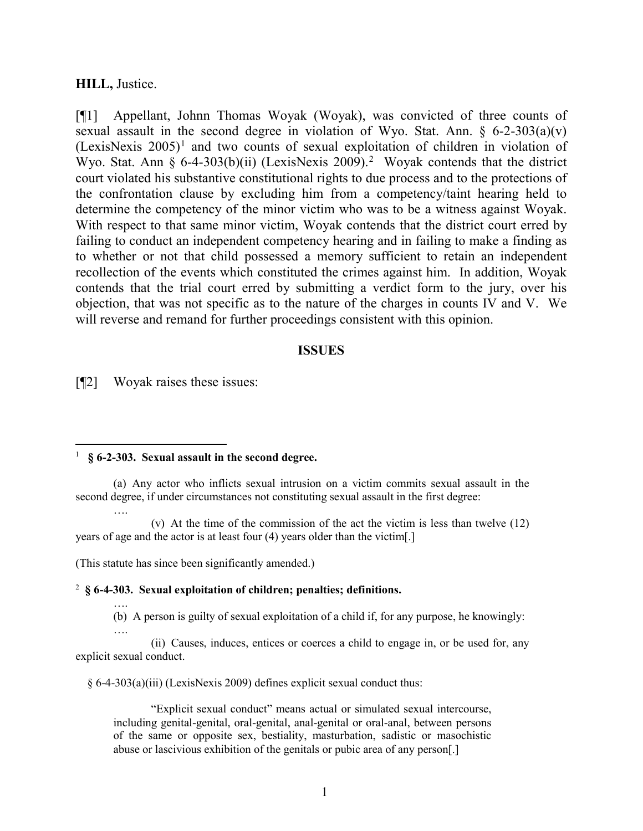#### **HILL,** Justice.

[¶1] Appellant, Johnn Thomas Woyak (Woyak), was convicted of three counts of sexual assault in the second degree in violation of Wyo. Stat. Ann.  $\S$  6-2-303(a)(v)  $(LexisNext is 2005)<sup>1</sup>$  $(LexisNext is 2005)<sup>1</sup>$  $(LexisNext is 2005)<sup>1</sup>$  and two counts of sexual exploitation of children in violation of Wyo. Stat. Ann § 6-4-303(b)(ii) (LexisNexis [2](#page-1-1)009).<sup>2</sup> Woyak contends that the district court violated his substantive constitutional rights to due process and to the protections of the confrontation clause by excluding him from a competency/taint hearing held to determine the competency of the minor victim who was to be a witness against Woyak. With respect to that same minor victim, Woyak contends that the district court erred by failing to conduct an independent competency hearing and in failing to make a finding as to whether or not that child possessed a memory sufficient to retain an independent recollection of the events which constituted the crimes against him. In addition, Woyak contends that the trial court erred by submitting a verdict form to the jury, over his objection, that was not specific as to the nature of the charges in counts IV and V. We will reverse and remand for further proceedings consistent with this opinion.

#### **ISSUES**

[¶2] Woyak raises these issues:

….

….

#### <span id="page-1-0"></span> $\frac{1}{1}$ **§ 6-2-303. Sexual assault in the second degree.**

(a) Any actor who inflicts sexual intrusion on a victim commits sexual assault in the second degree, if under circumstances not constituting sexual assault in the first degree:

(v) At the time of the commission of the act the victim is less than twelve (12) years of age and the actor is at least four (4) years older than the victim[.]

(This statute has since been significantly amended.)

#### <span id="page-1-1"></span><sup>2</sup> **§ 6-4-303. Sexual exploitation of children; penalties; definitions.**

…. (b) A person is guilty of sexual exploitation of a child if, for any purpose, he knowingly:

(ii) Causes, induces, entices or coerces a child to engage in, or be used for, any explicit sexual conduct.

§ 6-4-303(a)(iii) (LexisNexis 2009) defines explicit sexual conduct thus:

"Explicit sexual conduct" means actual or simulated sexual intercourse, including genital-genital, oral-genital, anal-genital or oral-anal, between persons of the same or opposite sex, bestiality, masturbation, sadistic or masochistic abuse or lascivious exhibition of the genitals or pubic area of any person[.]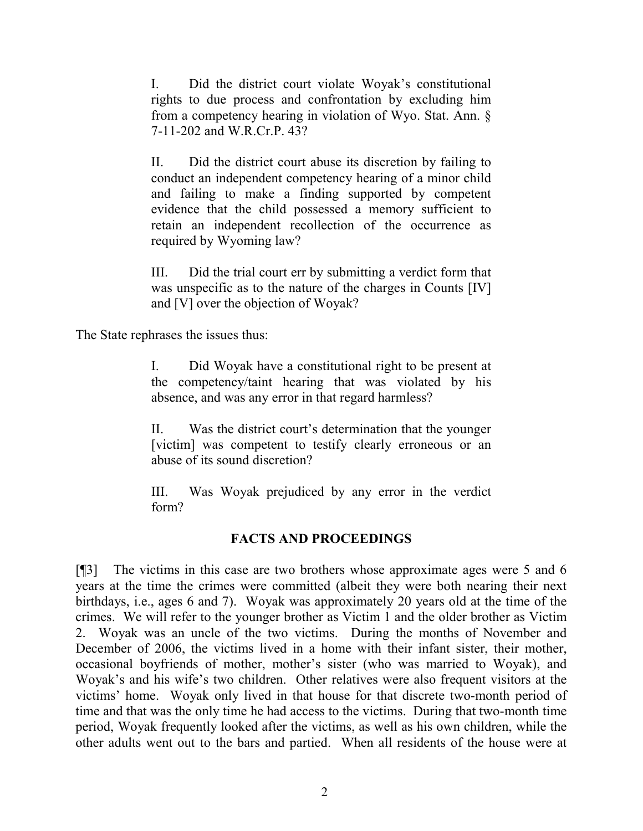I. Did the district court violate Woyak's constitutional rights to due process and confrontation by excluding him from a competency hearing in violation of Wyo. Stat. Ann. § 7-11-202 and W.R.Cr.P. 43?

II. Did the district court abuse its discretion by failing to conduct an independent competency hearing of a minor child and failing to make a finding supported by competent evidence that the child possessed a memory sufficient to retain an independent recollection of the occurrence as required by Wyoming law?

III. Did the trial court err by submitting a verdict form that was unspecific as to the nature of the charges in Counts [IV] and [V] over the objection of Woyak?

The State rephrases the issues thus:

I. Did Woyak have a constitutional right to be present at the competency/taint hearing that was violated by his absence, and was any error in that regard harmless?

II. Was the district court's determination that the younger [victim] was competent to testify clearly erroneous or an abuse of its sound discretion?

III. Was Woyak prejudiced by any error in the verdict form?

# **FACTS AND PROCEEDINGS**

[¶3] The victims in this case are two brothers whose approximate ages were 5 and 6 years at the time the crimes were committed (albeit they were both nearing their next birthdays, i.e., ages 6 and 7). Woyak was approximately 20 years old at the time of the crimes. We will refer to the younger brother as Victim 1 and the older brother as Victim 2. Woyak was an uncle of the two victims. During the months of November and December of 2006, the victims lived in a home with their infant sister, their mother, occasional boyfriends of mother, mother's sister (who was married to Woyak), and Woyak's and his wife's two children. Other relatives were also frequent visitors at the victims' home. Woyak only lived in that house for that discrete two-month period of time and that was the only time he had access to the victims. During that two-month time period, Woyak frequently looked after the victims, as well as his own children, while the other adults went out to the bars and partied. When all residents of the house were at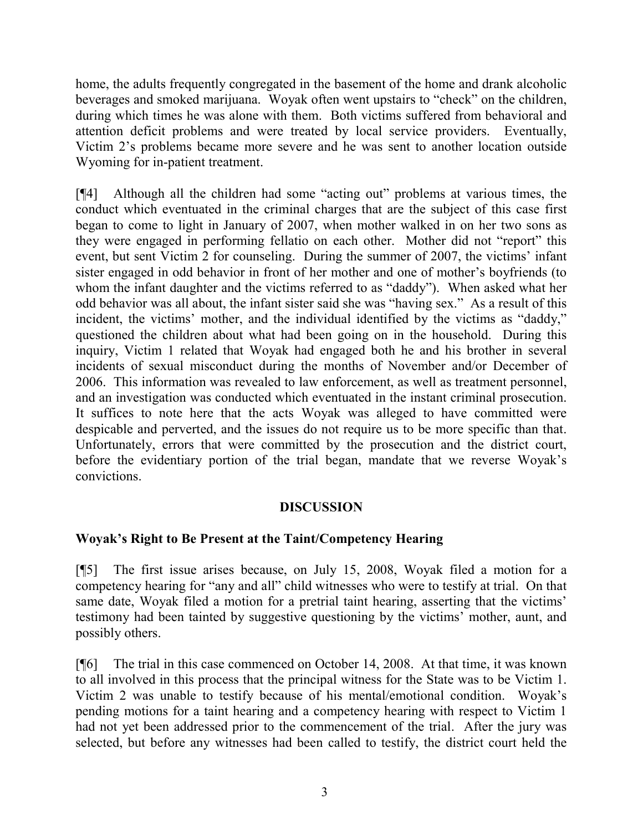home, the adults frequently congregated in the basement of the home and drank alcoholic beverages and smoked marijuana. Woyak often went upstairs to "check" on the children, during which times he was alone with them. Both victims suffered from behavioral and attention deficit problems and were treated by local service providers. Eventually, Victim 2's problems became more severe and he was sent to another location outside Wyoming for in-patient treatment.

[¶4] Although all the children had some "acting out" problems at various times, the conduct which eventuated in the criminal charges that are the subject of this case first began to come to light in January of 2007, when mother walked in on her two sons as they were engaged in performing fellatio on each other. Mother did not "report" this event, but sent Victim 2 for counseling. During the summer of 2007, the victims' infant sister engaged in odd behavior in front of her mother and one of mother's boyfriends (to whom the infant daughter and the victims referred to as "daddy"). When asked what her odd behavior was all about, the infant sister said she was "having sex." As a result of this incident, the victims' mother, and the individual identified by the victims as "daddy," questioned the children about what had been going on in the household. During this inquiry, Victim 1 related that Woyak had engaged both he and his brother in several incidents of sexual misconduct during the months of November and/or December of 2006. This information was revealed to law enforcement, as well as treatment personnel, and an investigation was conducted which eventuated in the instant criminal prosecution. It suffices to note here that the acts Woyak was alleged to have committed were despicable and perverted, and the issues do not require us to be more specific than that. Unfortunately, errors that were committed by the prosecution and the district court, before the evidentiary portion of the trial began, mandate that we reverse Woyak's convictions.

# **DISCUSSION**

# **Woyak's Right to Be Present at the Taint/Competency Hearing**

[¶5] The first issue arises because, on July 15, 2008, Woyak filed a motion for a competency hearing for "any and all" child witnesses who were to testify at trial. On that same date, Woyak filed a motion for a pretrial taint hearing, asserting that the victims' testimony had been tainted by suggestive questioning by the victims' mother, aunt, and possibly others.

[¶6] The trial in this case commenced on October 14, 2008. At that time, it was known to all involved in this process that the principal witness for the State was to be Victim 1. Victim 2 was unable to testify because of his mental/emotional condition. Woyak's pending motions for a taint hearing and a competency hearing with respect to Victim 1 had not yet been addressed prior to the commencement of the trial. After the jury was selected, but before any witnesses had been called to testify, the district court held the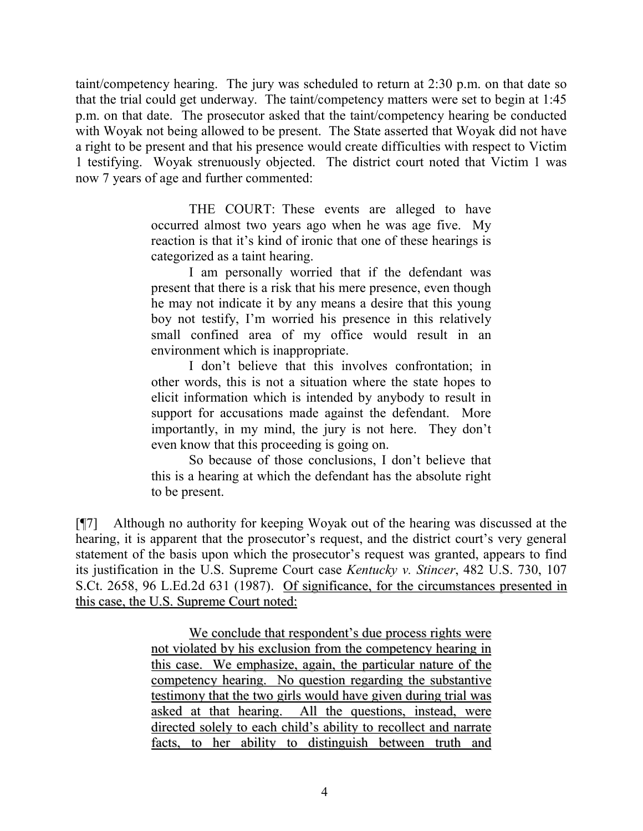taint/competency hearing. The jury was scheduled to return at 2:30 p.m. on that date so that the trial could get underway. The taint/competency matters were set to begin at 1:45 p.m. on that date. The prosecutor asked that the taint/competency hearing be conducted with Woyak not being allowed to be present. The State asserted that Woyak did not have a right to be present and that his presence would create difficulties with respect to Victim 1 testifying. Woyak strenuously objected. The district court noted that Victim 1 was now 7 years of age and further commented:

> THE COURT: These events are alleged to have occurred almost two years ago when he was age five. My reaction is that it's kind of ironic that one of these hearings is categorized as a taint hearing.

> I am personally worried that if the defendant was present that there is a risk that his mere presence, even though he may not indicate it by any means a desire that this young boy not testify, I'm worried his presence in this relatively small confined area of my office would result in an environment which is inappropriate.

> I don't believe that this involves confrontation; in other words, this is not a situation where the state hopes to elicit information which is intended by anybody to result in support for accusations made against the defendant. More importantly, in my mind, the jury is not here. They don't even know that this proceeding is going on.

> So because of those conclusions, I don't believe that this is a hearing at which the defendant has the absolute right to be present.

[¶7] Although no authority for keeping Woyak out of the hearing was discussed at the hearing, it is apparent that the prosecutor's request, and the district court's very general statement of the basis upon which the prosecutor's request was granted, appears to find its justification in the U.S. Supreme Court case *Kentucky v. Stincer*, 482 U.S. 730, 107 S.Ct. 2658, 96 L.Ed.2d 631 (1987). Of significance, for the circumstances presented in this case, the U.S. Supreme Court noted:

> We conclude that respondent's due process rights were not violated by his exclusion from the competency hearing in this case. We emphasize, again, the particular nature of the competency hearing. No question regarding the substantive testimony that the two girls would have given during trial was asked at that hearing. All the questions, instead, were directed solely to each child's ability to recollect and narrate facts, to her ability to distinguish between truth and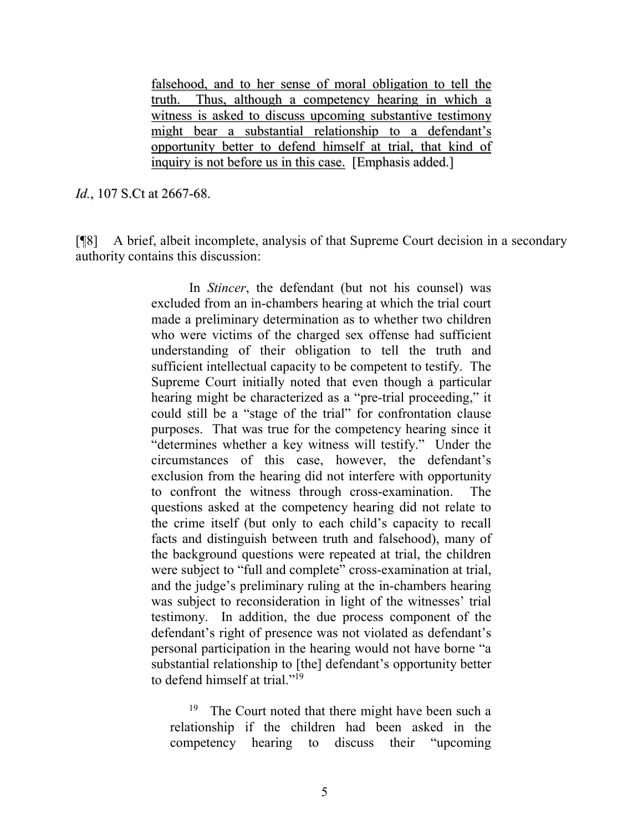falsehood, and to her sense of moral obligation to tell the truth. Thus, although a competency hearing in which a witness is asked to discuss upcoming substantive testimony might bear a substantial relationship to a defendant's opportunity better to defend himself at trial, that kind of inquiry is not before us in this case. [Emphasis added.]

*Id.*, 107 S.Ct at 2667-68.

[¶8] A brief, albeit incomplete, analysis of that Supreme Court decision in a secondary authority contains this discussion:

> In *Stincer*, the defendant (but not his counsel) was excluded from an in-chambers hearing at which the trial court made a preliminary determination as to whether two children who were victims of the charged sex offense had sufficient understanding of their obligation to tell the truth and sufficient intellectual capacity to be competent to testify. The Supreme Court initially noted that even though a particular hearing might be characterized as a "pre-trial proceeding," it could still be a "stage of the trial" for confrontation clause purposes. That was true for the competency hearing since it "determines whether a key witness will testify." Under the circumstances of this case, however, the defendant's exclusion from the hearing did not interfere with opportunity to confront the witness through cross-examination. The questions asked at the competency hearing did not relate to the crime itself (but only to each child's capacity to recall facts and distinguish between truth and falsehood), many of the background questions were repeated at trial, the children were subject to "full and complete" cross-examination at trial, and the judge's preliminary ruling at the in-chambers hearing was subject to reconsideration in light of the witnesses' trial testimony. In addition, the due process component of the defendant's right of presence was not violated as defendant's personal participation in the hearing would not have borne "a substantial relationship to [the] defendant's opportunity better to defend himself at trial."19

<sup>19</sup> The Court noted that there might have been such a relationship if the children had been asked in the competency hearing to discuss their "upcoming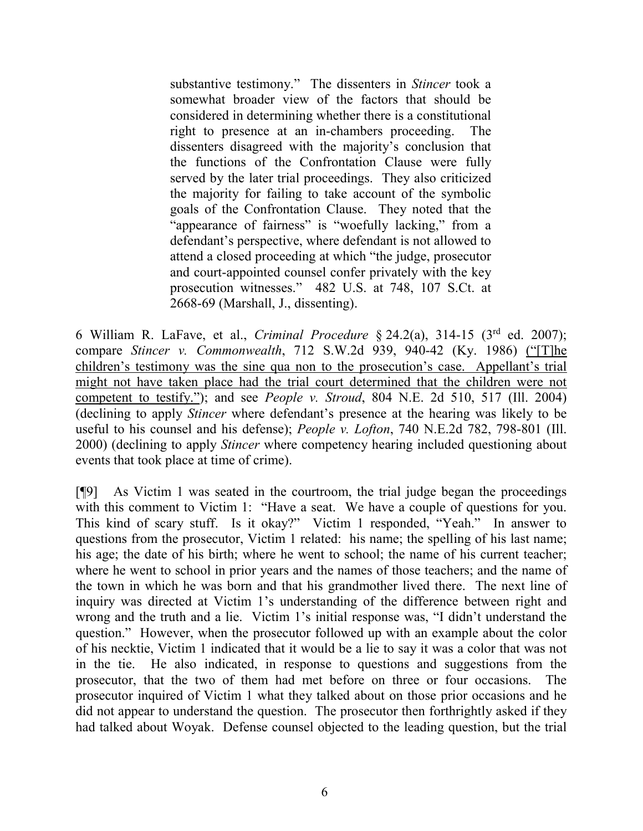substantive testimony." The dissenters in *Stincer* took a somewhat broader view of the factors that should be considered in determining whether there is a constitutional right to presence at an in-chambers proceeding. The dissenters disagreed with the majority's conclusion that the functions of the Confrontation Clause were fully served by the later trial proceedings. They also criticized the majority for failing to take account of the symbolic goals of the Confrontation Clause. They noted that the "appearance of fairness" is "woefully lacking," from a defendant's perspective, where defendant is not allowed to attend a closed proceeding at which "the judge, prosecutor and court-appointed counsel confer privately with the key prosecution witnesses." 482 U.S. at 748, 107 S.Ct. at 2668-69 (Marshall, J., dissenting).

6 William R. LaFave, et al., *Criminal Procedure* § 24.2(a), 314-15 (3rd ed. 2007); compare *Stincer v. Commonwealth*, 712 S.W.2d 939, 940-42 (Ky. 1986) ("[T]he children's testimony was the sine qua non to the prosecution's case. Appellant's trial might not have taken place had the trial court determined that the children were not competent to testify."); and see *People v. Stroud*, 804 N.E. 2d 510, 517 (Ill. 2004) (declining to apply *Stincer* where defendant's presence at the hearing was likely to be useful to his counsel and his defense); *People v. Lofton*, 740 N.E.2d 782, 798-801 (Ill. 2000) (declining to apply *Stincer* where competency hearing included questioning about events that took place at time of crime).

[¶9] As Victim 1 was seated in the courtroom, the trial judge began the proceedings with this comment to Victim 1: "Have a seat. We have a couple of questions for you. This kind of scary stuff. Is it okay?" Victim 1 responded, "Yeah." In answer to questions from the prosecutor, Victim 1 related: his name; the spelling of his last name; his age; the date of his birth; where he went to school; the name of his current teacher; where he went to school in prior years and the names of those teachers; and the name of the town in which he was born and that his grandmother lived there. The next line of inquiry was directed at Victim 1's understanding of the difference between right and wrong and the truth and a lie. Victim 1's initial response was, "I didn't understand the question." However, when the prosecutor followed up with an example about the color of his necktie, Victim 1 indicated that it would be a lie to say it was a color that was not in the tie. He also indicated, in response to questions and suggestions from the prosecutor, that the two of them had met before on three or four occasions. The prosecutor inquired of Victim 1 what they talked about on those prior occasions and he did not appear to understand the question. The prosecutor then forthrightly asked if they had talked about Woyak. Defense counsel objected to the leading question, but the trial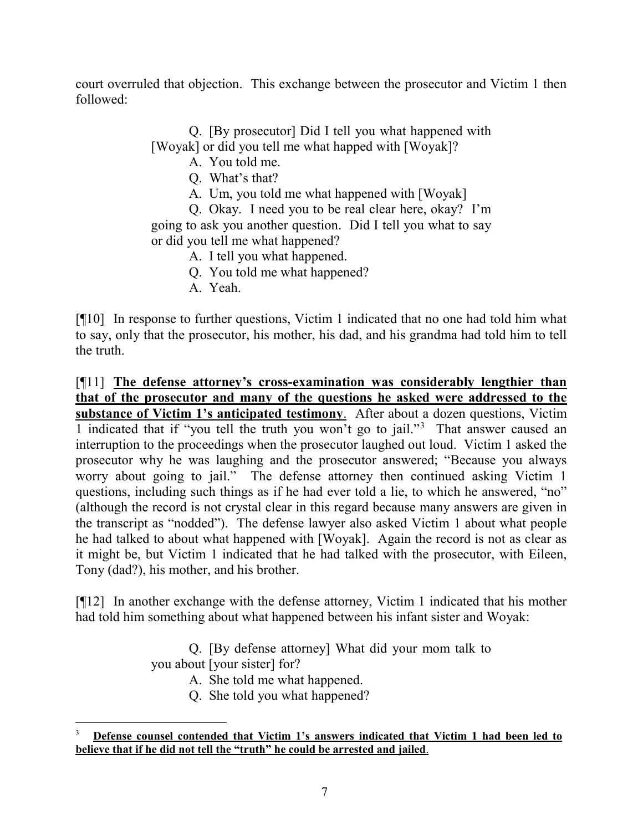court overruled that objection. This exchange between the prosecutor and Victim 1 then followed:

Q. [By prosecutor] Did I tell you what happened with

[Woyak] or did you tell me what happed with [Woyak]?

A. You told me.

Q. What's that?

A. Um, you told me what happened with [Woyak]

Q. Okay. I need you to be real clear here, okay? I'm going to ask you another question. Did I tell you what to say or did you tell me what happened?

A. I tell you what happened.

Q. You told me what happened?

A. Yeah.

[¶10] In response to further questions, Victim 1 indicated that no one had told him what to say, only that the prosecutor, his mother, his dad, and his grandma had told him to tell the truth.

[¶11] **The defense attorney's cross-examination was considerably lengthier than that of the prosecutor and many of the questions he asked were addressed to the substance of Victim 1's anticipated testimony**. After about a dozen questions, Victim 1 indicated that if "you tell the truth you won't go to jail."[3](#page-7-0) That answer caused an interruption to the proceedings when the prosecutor laughed out loud. Victim 1 asked the prosecutor why he was laughing and the prosecutor answered; "Because you always worry about going to jail." The defense attorney then continued asking Victim 1 questions, including such things as if he had ever told a lie, to which he answered, "no" (although the record is not crystal clear in this regard because many answers are given in the transcript as "nodded"). The defense lawyer also asked Victim 1 about what people he had talked to about what happened with [Woyak]. Again the record is not as clear as it might be, but Victim 1 indicated that he had talked with the prosecutor, with Eileen, Tony (dad?), his mother, and his brother.

[¶12] In another exchange with the defense attorney, Victim 1 indicated that his mother had told him something about what happened between his infant sister and Woyak:

> Q. [By defense attorney] What did your mom talk to you about [your sister] for?

A. She told me what happened.

Q. She told you what happened?

<span id="page-7-0"></span><sup>&</sup>lt;sup>2</sup><br>3 **Defense counsel contended that Victim 1's answers indicated that Victim 1 had been led to believe that if he did not tell the "truth" he could be arrested and jailed**.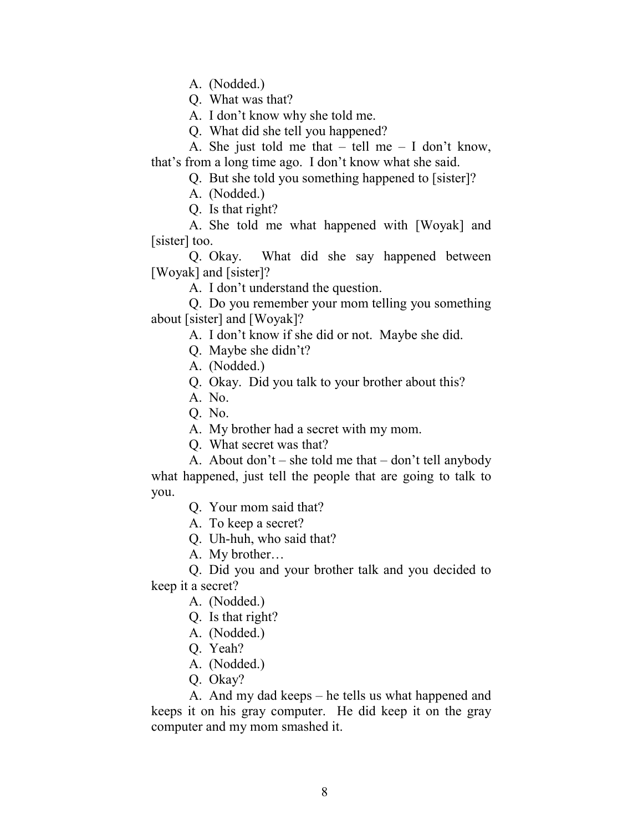A. (Nodded.)

Q. What was that?

A. I don't know why she told me.

Q. What did she tell you happened?

A. She just told me that  $-$  tell me  $-$  I don't know, that's from a long time ago. I don't know what she said.

Q. But she told you something happened to [sister]?

A. (Nodded.)

Q. Is that right?

A. She told me what happened with [Woyak] and [sister] too.

Q. Okay. What did she say happened between [Woyak] and [sister]?

A. I don't understand the question.

Q. Do you remember your mom telling you something about [sister] and [Woyak]?

A. I don't know if she did or not. Maybe she did.

Q. Maybe she didn't?

A. (Nodded.)

Q. Okay. Did you talk to your brother about this?

A. No.

Q. No.

A. My brother had a secret with my mom.

Q. What secret was that?

A. About don't – she told me that – don't tell anybody what happened, just tell the people that are going to talk to you.

Q. Your mom said that?

A. To keep a secret?

Q. Uh-huh, who said that?

A. My brother…

Q. Did you and your brother talk and you decided to keep it a secret?

A. (Nodded.)

Q. Is that right?

A. (Nodded.)

Q. Yeah?

A. (Nodded.)

Q. Okay?

A. And my dad keeps – he tells us what happened and keeps it on his gray computer. He did keep it on the gray computer and my mom smashed it.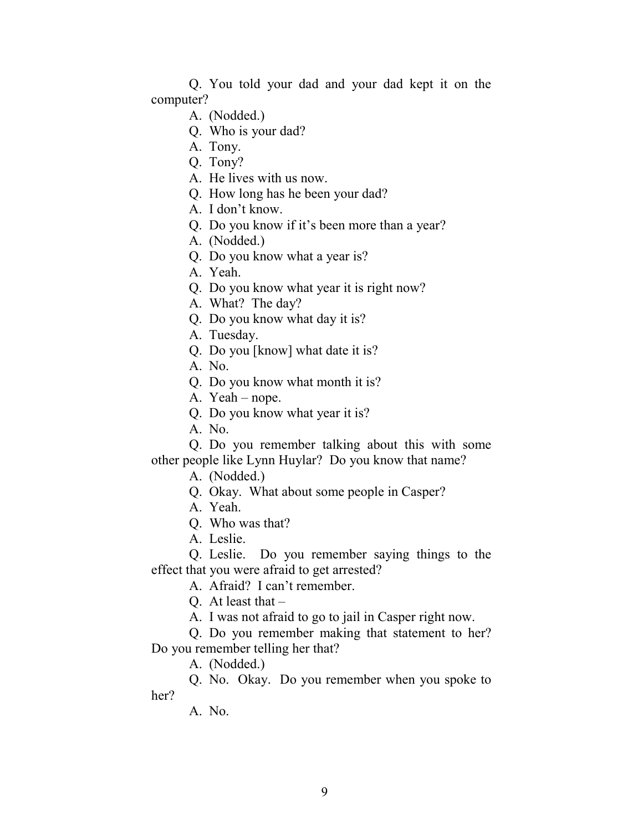Q. You told your dad and your dad kept it on the computer?

- A. (Nodded.)
- Q. Who is your dad?
- A. Tony.
- Q. Tony?
- A. He lives with us now.
- Q. How long has he been your dad?
- A. I don't know.
- Q. Do you know if it's been more than a year?
- A. (Nodded.)
- Q. Do you know what a year is?
- A. Yeah.
- Q. Do you know what year it is right now?
- A. What? The day?
- Q. Do you know what day it is?
- A. Tuesday.
- Q. Do you [know] what date it is?
- A. No.
- Q. Do you know what month it is?
- A. Yeah nope.
- Q. Do you know what year it is?
- A. No.

Q. Do you remember talking about this with some other people like Lynn Huylar? Do you know that name?

- A. (Nodded.)
- Q. Okay. What about some people in Casper?
- A. Yeah.
- Q. Who was that?
- A. Leslie.
- Q. Leslie. Do you remember saying things to the effect that you were afraid to get arrested?
	- A. Afraid? I can't remember.
	- Q. At least that  $-$
	- A. I was not afraid to go to jail in Casper right now.
- Q. Do you remember making that statement to her? Do you remember telling her that?
	- A. (Nodded.)
- Q. No. Okay. Do you remember when you spoke to her?
	- A. No.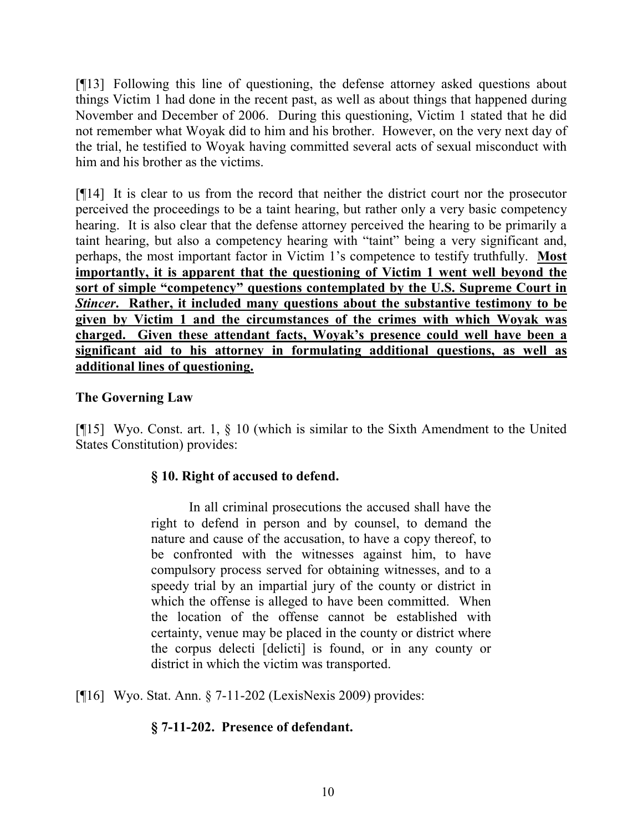[¶13] Following this line of questioning, the defense attorney asked questions about things Victim 1 had done in the recent past, as well as about things that happened during November and December of 2006. During this questioning, Victim 1 stated that he did not remember what Woyak did to him and his brother. However, on the very next day of the trial, he testified to Woyak having committed several acts of sexual misconduct with him and his brother as the victims.

[¶14] It is clear to us from the record that neither the district court nor the prosecutor perceived the proceedings to be a taint hearing, but rather only a very basic competency hearing. It is also clear that the defense attorney perceived the hearing to be primarily a taint hearing, but also a competency hearing with "taint" being a very significant and, perhaps, the most important factor in Victim 1's competence to testify truthfully. **Most importantly, it is apparent that the questioning of Victim 1 went well beyond the sort of simple "competency" questions contemplated by the U.S. Supreme Court in**  *Stincer***. Rather, it included many questions about the substantive testimony to be given by Victim 1 and the circumstances of the crimes with which Woyak was charged. Given these attendant facts, Woyak's presence could well have been a significant aid to his attorney in formulating additional questions, as well as additional lines of questioning.**

# **The Governing Law**

[¶15] Wyo. Const. art. 1, § 10 (which is similar to the Sixth Amendment to the United States Constitution) provides:

# **§ 10. Right of accused to defend.**

In all criminal prosecutions the accused shall have the right to defend in person and by counsel, to demand the nature and cause of the accusation, to have a copy thereof, to be confronted with the witnesses against him, to have compulsory process served for obtaining witnesses, and to a speedy trial by an impartial jury of the county or district in which the offense is alleged to have been committed. When the location of the offense cannot be established with certainty, venue may be placed in the county or district where the corpus delecti [delicti] is found, or in any county or district in which the victim was transported.

[¶16] Wyo. Stat. Ann. § 7-11-202 (LexisNexis 2009) provides:

# **§ 7-11-202. Presence of defendant.**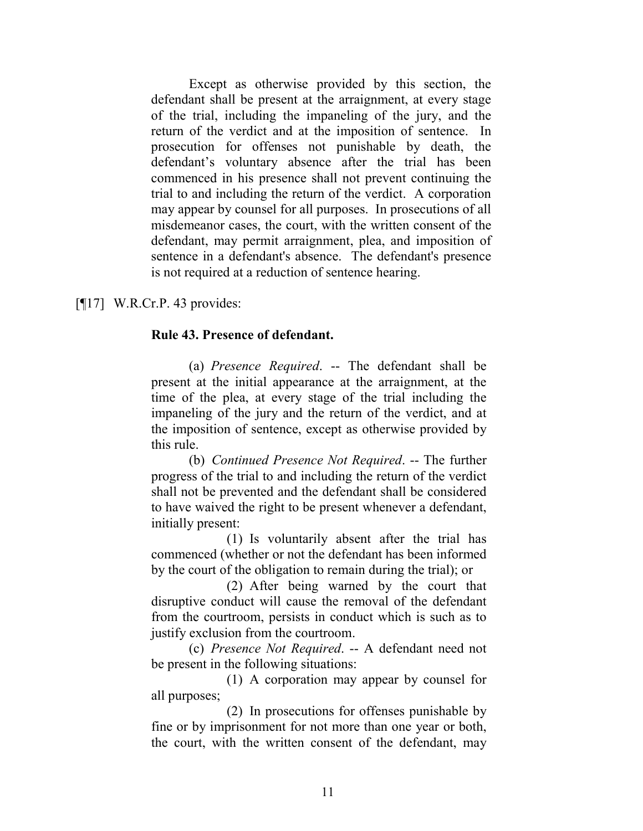Except as otherwise provided by this section, the defendant shall be present at the arraignment, at every stage of the trial, including the impaneling of the jury, and the return of the verdict and at the imposition of sentence. In prosecution for offenses not punishable by death, the defendant's voluntary absence after the trial has been commenced in his presence shall not prevent continuing the trial to and including the return of the verdict. A corporation may appear by counsel for all purposes. In prosecutions of all misdemeanor cases, the court, with the written consent of the defendant, may permit arraignment, plea, and imposition of sentence in a defendant's absence. The defendant's presence is not required at a reduction of sentence hearing.

[¶17] W.R.Cr.P. 43 provides:

# **Rule 43. Presence of defendant.**

(a) *Presence Required*. -- The defendant shall be present at the initial appearance at the arraignment, at the time of the plea, at every stage of the trial including the impaneling of the jury and the return of the verdict, and at the imposition of sentence, except as otherwise provided by this rule.

(b) *Continued Presence Not Required*. -- The further progress of the trial to and including the return of the verdict shall not be prevented and the defendant shall be considered to have waived the right to be present whenever a defendant, initially present:

(1) Is voluntarily absent after the trial has commenced (whether or not the defendant has been informed by the court of the obligation to remain during the trial); or

(2) After being warned by the court that disruptive conduct will cause the removal of the defendant from the courtroom, persists in conduct which is such as to justify exclusion from the courtroom.

(c) *Presence Not Required*. -- A defendant need not be present in the following situations:

(1) A corporation may appear by counsel for all purposes;

(2) In prosecutions for offenses punishable by fine or by imprisonment for not more than one year or both, the court, with the written consent of the defendant, may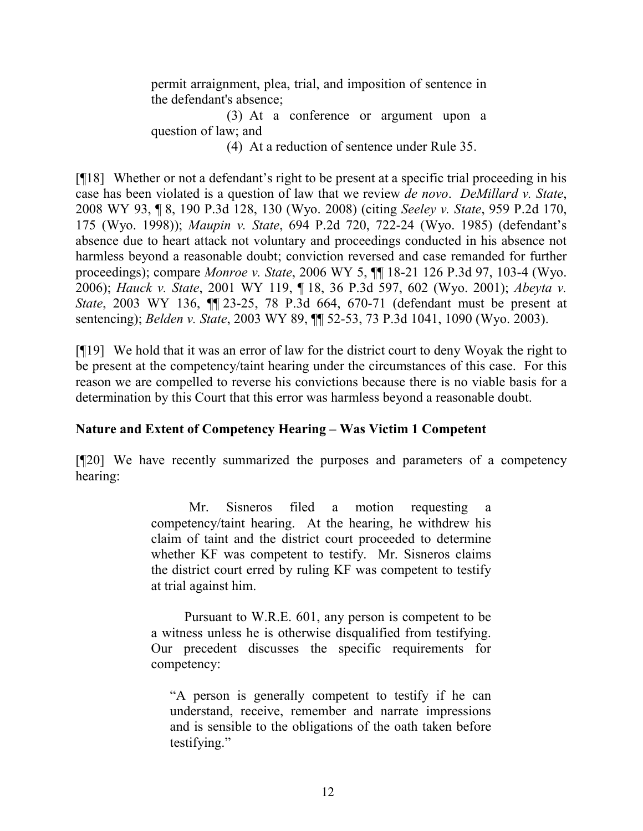permit arraignment, plea, trial, and imposition of sentence in the defendant's absence;

(3) At a conference or argument upon a question of law; and

(4) At a reduction of sentence under Rule 35.

[¶18] Whether or not a defendant's right to be present at a specific trial proceeding in his case has been violated is a question of law that we review *de novo*. *DeMillard v. State*, 2008 WY 93, ¶ 8, 190 P.3d 128, 130 (Wyo. 2008) (citing *Seeley v. State*, 959 P.2d 170, 175 (Wyo. 1998)); *Maupin v. State*, 694 P.2d 720, 722-24 (Wyo. 1985) (defendant's absence due to heart attack not voluntary and proceedings conducted in his absence not harmless beyond a reasonable doubt; conviction reversed and case remanded for further proceedings); compare *Monroe v. State*, 2006 WY 5, ¶¶ 18-21 126 P.3d 97, 103-4 (Wyo. 2006); *Hauck v. State*, 2001 WY 119, ¶ 18, 36 P.3d 597, 602 (Wyo. 2001); *Abeyta v. State*, 2003 WY 136, ¶¶ 23-25, 78 P.3d 664, 670-71 (defendant must be present at sentencing); *Belden v. State*, 2003 WY 89, ¶¶ 52-53, 73 P.3d 1041, 1090 (Wyo. 2003).

[¶19] We hold that it was an error of law for the district court to deny Woyak the right to be present at the competency/taint hearing under the circumstances of this case. For this reason we are compelled to reverse his convictions because there is no viable basis for a determination by this Court that this error was harmless beyond a reasonable doubt.

# **Nature and Extent of Competency Hearing – Was Victim 1 Competent**

[¶20] We have recently summarized the purposes and parameters of a competency hearing:

> Mr. Sisneros filed a motion requesting competency/taint hearing. At the hearing, he withdrew his claim of taint and the district court proceeded to determine whether KF was competent to testify. Mr. Sisneros claims the district court erred by ruling KF was competent to testify at trial against him.

> Pursuant to W.R.E. 601, any person is competent to be a witness unless he is otherwise disqualified from testifying. Our precedent discusses the specific requirements for competency:

"A person is generally competent to testify if he can understand, receive, remember and narrate impressions and is sensible to the obligations of the oath taken before testifying."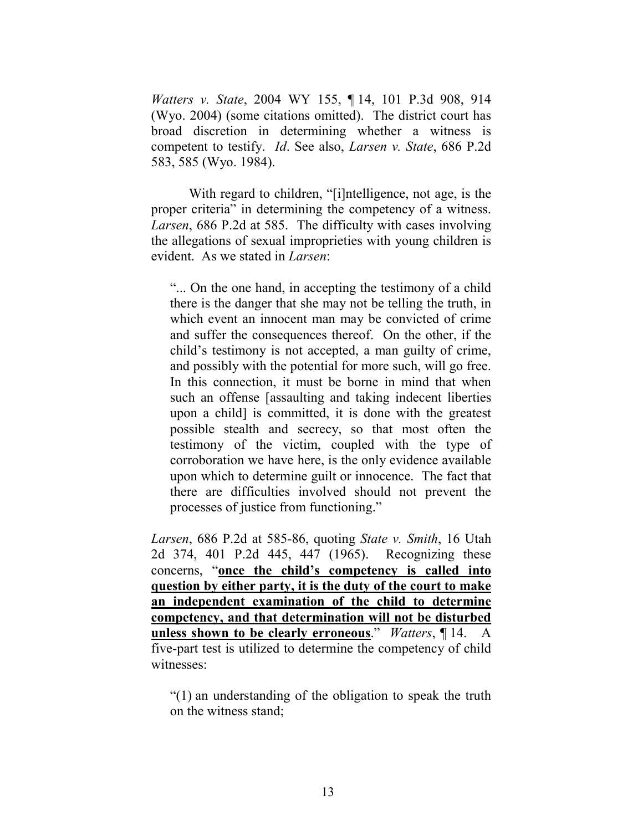*Watters v. State*, 2004 WY 155, ¶ 14, 101 P.3d 908, 914 (Wyo. 2004) (some citations omitted). The district court has broad discretion in determining whether a witness is competent to testify. *Id*. See also, *Larsen v. State*, 686 P.2d 583, 585 (Wyo. 1984).

With regard to children, "[i]ntelligence, not age, is the proper criteria" in determining the competency of a witness. *Larsen*, 686 P.2d at 585. The difficulty with cases involving the allegations of sexual improprieties with young children is evident. As we stated in *Larsen*:

"... On the one hand, in accepting the testimony of a child there is the danger that she may not be telling the truth, in which event an innocent man may be convicted of crime and suffer the consequences thereof. On the other, if the child's testimony is not accepted, a man guilty of crime, and possibly with the potential for more such, will go free. In this connection, it must be borne in mind that when such an offense [assaulting and taking indecent liberties upon a child] is committed, it is done with the greatest possible stealth and secrecy, so that most often the testimony of the victim, coupled with the type of corroboration we have here, is the only evidence available upon which to determine guilt or innocence. The fact that there are difficulties involved should not prevent the processes of justice from functioning."

*Larsen*, 686 P.2d at 585-86, quoting *State v. Smith*, 16 Utah 2d 374, 401 P.2d 445, 447 (1965). Recognizing these concerns, "**once the child's competency is called into question by either party, it is the duty of the court to make an independent examination of the child to determine competency, and that determination will not be disturbed unless shown to be clearly erroneous**." *Watters*, ¶ 14. A five-part test is utilized to determine the competency of child witnesses:

"(1) an understanding of the obligation to speak the truth on the witness stand;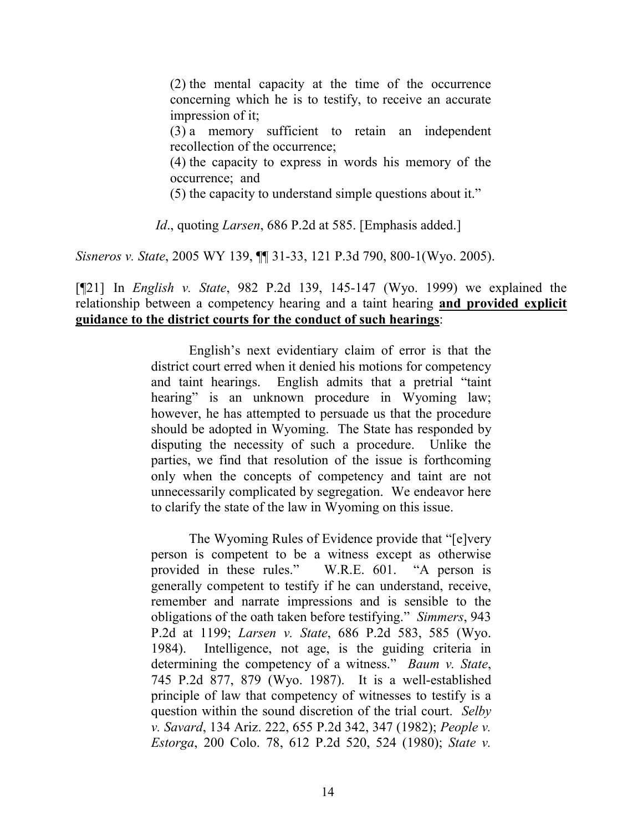(2) the mental capacity at the time of the occurrence concerning which he is to testify, to receive an accurate impression of it;

(3) a memory sufficient to retain an independent recollection of the occurrence;

(4) the capacity to express in words his memory of the occurrence; and

(5) the capacity to understand simple questions about it."

*Id*., quoting *Larsen*, 686 P.2d at 585. [Emphasis added.]

*Sisneros v. State*, 2005 WY 139, ¶¶ 31-33, 121 P.3d 790, 800-1(Wyo. 2005).

[¶21] In *English v. State*, 982 P.2d 139, 145-147 (Wyo. 1999) we explained the relationship between a competency hearing and a taint hearing **and provided explicit guidance to the district courts for the conduct of such hearings**:

> English's next evidentiary claim of error is that the district court erred when it denied his motions for competency and taint hearings. English admits that a pretrial "taint hearing" is an unknown procedure in Wyoming law; however, he has attempted to persuade us that the procedure should be adopted in Wyoming. The State has responded by disputing the necessity of such a procedure. Unlike the parties, we find that resolution of the issue is forthcoming only when the concepts of competency and taint are not unnecessarily complicated by segregation. We endeavor here to clarify the state of the law in Wyoming on this issue.

> The Wyoming Rules of Evidence provide that "[e]very person is competent to be a witness except as otherwise provided in these rules." W.R.E. 601. "A person is generally competent to testify if he can understand, receive, remember and narrate impressions and is sensible to the obligations of the oath taken before testifying." *Simmers*, 943 P.2d at 1199; *Larsen v. State*, 686 P.2d 583, 585 (Wyo. 1984). Intelligence, not age, is the guiding criteria in determining the competency of a witness." *Baum v. State*, 745 P.2d 877, 879 (Wyo. 1987). It is a well-established principle of law that competency of witnesses to testify is a question within the sound discretion of the trial court. *Selby v. Savard*, 134 Ariz. 222, 655 P.2d 342, 347 (1982); *People v. Estorga*, 200 Colo. 78, 612 P.2d 520, 524 (1980); *State v.*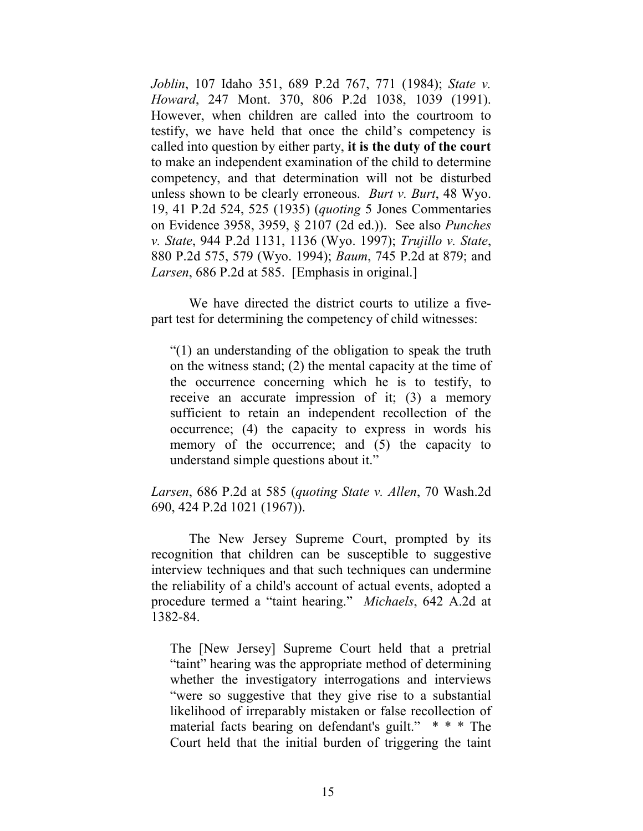*Joblin*, 107 Idaho 351, 689 P.2d 767, 771 (1984); *State v. Howard*, 247 Mont. 370, 806 P.2d 1038, 1039 (1991). However, when children are called into the courtroom to testify, we have held that once the child's competency is called into question by either party, **it is the duty of the court** to make an independent examination of the child to determine competency, and that determination will not be disturbed unless shown to be clearly erroneous. *Burt v. Burt*, 48 Wyo. 19, 41 P.2d 524, 525 (1935) (*quoting* 5 Jones Commentaries on Evidence 3958, 3959, § 2107 (2d ed.)). See also *Punches v. State*, 944 P.2d 1131, 1136 (Wyo. 1997); *Trujillo v. State*, 880 P.2d 575, 579 (Wyo. 1994); *Baum*, 745 P.2d at 879; and *Larsen*, 686 P.2d at 585. [Emphasis in original.]

We have directed the district courts to utilize a fivepart test for determining the competency of child witnesses:

"(1) an understanding of the obligation to speak the truth on the witness stand; (2) the mental capacity at the time of the occurrence concerning which he is to testify, to receive an accurate impression of it; (3) a memory sufficient to retain an independent recollection of the occurrence; (4) the capacity to express in words his memory of the occurrence; and (5) the capacity to understand simple questions about it."

*Larsen*, 686 P.2d at 585 (*quoting State v. Allen*, 70 Wash.2d 690, 424 P.2d 1021 (1967)).

The New Jersey Supreme Court, prompted by its recognition that children can be susceptible to suggestive interview techniques and that such techniques can undermine the reliability of a child's account of actual events, adopted a procedure termed a "taint hearing." *Michaels*, 642 A.2d at 1382-84.

The [New Jersey] Supreme Court held that a pretrial "taint" hearing was the appropriate method of determining whether the investigatory interrogations and interviews "were so suggestive that they give rise to a substantial likelihood of irreparably mistaken or false recollection of material facts bearing on defendant's guilt." \* \* \* The Court held that the initial burden of triggering the taint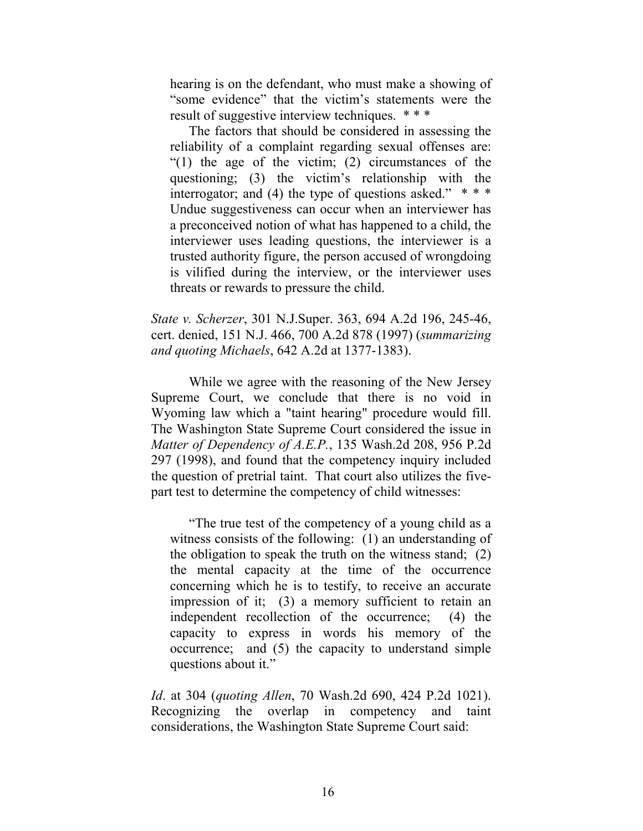hearing is on the defendant, who must make a showing of "some evidence" that the victim's statements were the result of suggestive interview techniques. \* \* \*

The factors that should be considered in assessing the reliability of a complaint regarding sexual offenses are: "(1) the age of the victim; (2) circumstances of the questioning; (3) the victim's relationship with the interrogator; and (4) the type of questions asked."  $***$ Undue suggestiveness can occur when an interviewer has a preconceived notion of what has happened to a child, the interviewer uses leading questions, the interviewer is a trusted authority figure, the person accused of wrongdoing is vilified during the interview, or the interviewer uses threats or rewards to pressure the child.

*State v. Scherzer*, 301 N.J.Super. 363, 694 A.2d 196, 245-46, cert. denied, 151 N.J. 466, 700 A.2d 878 (1997) (*summarizing and quoting Michaels*, 642 A.2d at 1377-1383).

While we agree with the reasoning of the New Jersey Supreme Court, we conclude that there is no void in Wyoming law which a "taint hearing" procedure would fill. The Washington State Supreme Court considered the issue in *Matter of Dependency of A.E.P.*, 135 Wash.2d 208, 956 P.2d 297 (1998), and found that the competency inquiry included the question of pretrial taint. That court also utilizes the fivepart test to determine the competency of child witnesses:

"The true test of the competency of a young child as a witness consists of the following: (1) an understanding of the obligation to speak the truth on the witness stand; (2) the mental capacity at the time of the occurrence concerning which he is to testify, to receive an accurate impression of it; (3) a memory sufficient to retain an independent recollection of the occurrence; (4) the capacity to express in words his memory of the occurrence; and (5) the capacity to understand simple questions about it."

*Id*. at 304 (*quoting Allen*, 70 Wash.2d 690, 424 P.2d 1021). Recognizing the overlap in competency and taint considerations, the Washington State Supreme Court said: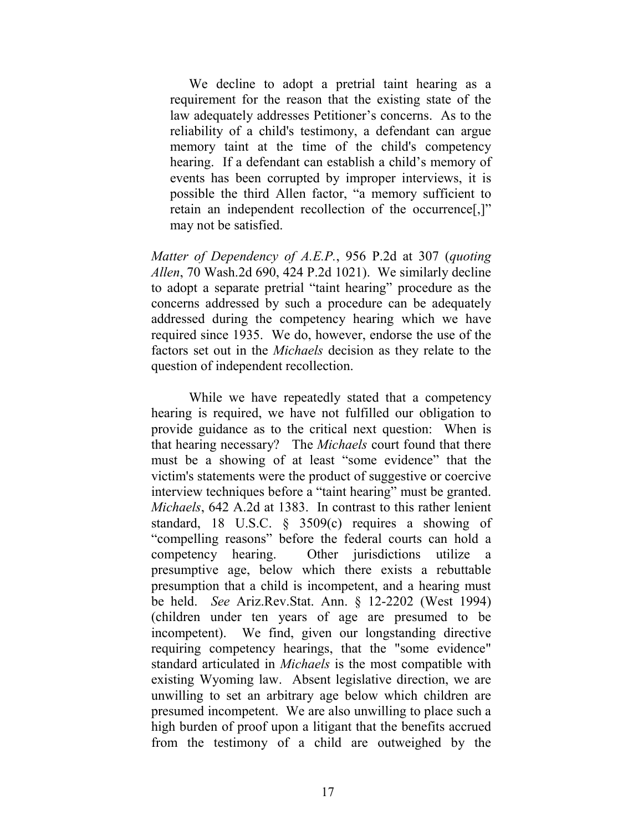We decline to adopt a pretrial taint hearing as a requirement for the reason that the existing state of the law adequately addresses Petitioner's concerns. As to the reliability of a child's testimony, a defendant can argue memory taint at the time of the child's competency hearing. If a defendant can establish a child's memory of events has been corrupted by improper interviews, it is possible the third Allen factor, "a memory sufficient to retain an independent recollection of the occurrence[,]" may not be satisfied.

*Matter of Dependency of A.E.P.*, 956 P.2d at 307 (*quoting Allen*, 70 Wash.2d 690, 424 P.2d 1021). We similarly decline to adopt a separate pretrial "taint hearing" procedure as the concerns addressed by such a procedure can be adequately addressed during the competency hearing which we have required since 1935. We do, however, endorse the use of the factors set out in the *Michaels* decision as they relate to the question of independent recollection.

While we have repeatedly stated that a competency hearing is required, we have not fulfilled our obligation to provide guidance as to the critical next question: When is that hearing necessary? The *Michaels* court found that there must be a showing of at least "some evidence" that the victim's statements were the product of suggestive or coercive interview techniques before a "taint hearing" must be granted. *Michaels*, 642 A.2d at 1383. In contrast to this rather lenient standard, 18 U.S.C. § 3509(c) requires a showing of "compelling reasons" before the federal courts can hold a competency hearing. Other jurisdictions utilize a presumptive age, below which there exists a rebuttable presumption that a child is incompetent, and a hearing must be held. *See* Ariz.Rev.Stat. Ann. § 12-2202 (West 1994) (children under ten years of age are presumed to be incompetent). We find, given our longstanding directive requiring competency hearings, that the "some evidence" standard articulated in *Michaels* is the most compatible with existing Wyoming law. Absent legislative direction, we are unwilling to set an arbitrary age below which children are presumed incompetent. We are also unwilling to place such a high burden of proof upon a litigant that the benefits accrued from the testimony of a child are outweighed by the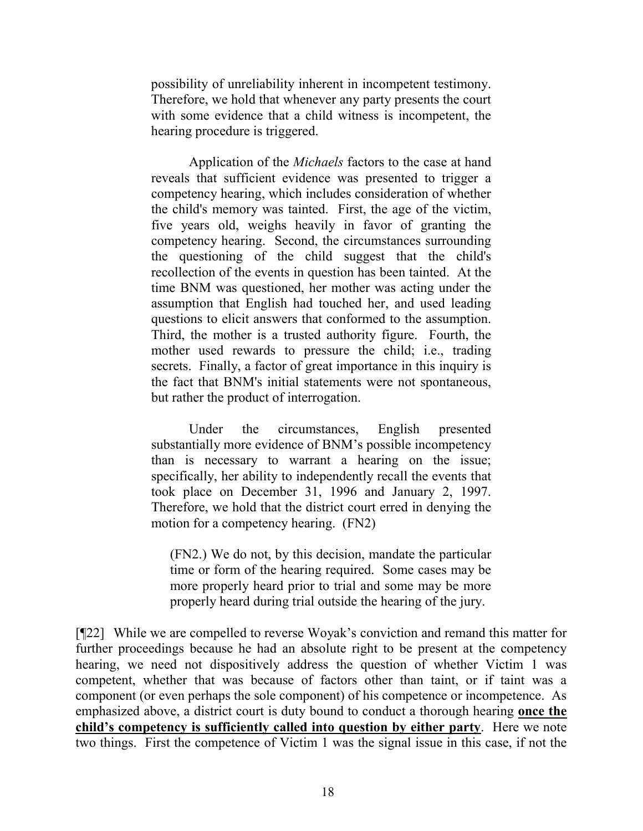possibility of unreliability inherent in incompetent testimony. Therefore, we hold that whenever any party presents the court with some evidence that a child witness is incompetent, the hearing procedure is triggered.

Application of the *Michaels* factors to the case at hand reveals that sufficient evidence was presented to trigger a competency hearing, which includes consideration of whether the child's memory was tainted. First, the age of the victim, five years old, weighs heavily in favor of granting the competency hearing. Second, the circumstances surrounding the questioning of the child suggest that the child's recollection of the events in question has been tainted. At the time BNM was questioned, her mother was acting under the assumption that English had touched her, and used leading questions to elicit answers that conformed to the assumption. Third, the mother is a trusted authority figure. Fourth, the mother used rewards to pressure the child; i.e., trading secrets. Finally, a factor of great importance in this inquiry is the fact that BNM's initial statements were not spontaneous, but rather the product of interrogation.

Under the circumstances, English presented substantially more evidence of BNM's possible incompetency than is necessary to warrant a hearing on the issue; specifically, her ability to independently recall the events that took place on December 31, 1996 and January 2, 1997. Therefore, we hold that the district court erred in denying the motion for a competency hearing. (FN2)

(FN2.) We do not, by this decision, mandate the particular time or form of the hearing required. Some cases may be more properly heard prior to trial and some may be more properly heard during trial outside the hearing of the jury.

[¶22] While we are compelled to reverse Woyak's conviction and remand this matter for further proceedings because he had an absolute right to be present at the competency hearing, we need not dispositively address the question of whether Victim 1 was competent, whether that was because of factors other than taint, or if taint was a component (or even perhaps the sole component) of his competence or incompetence. As emphasized above, a district court is duty bound to conduct a thorough hearing **once the child's competency is sufficiently called into question by either party**. Here we note two things. First the competence of Victim 1 was the signal issue in this case, if not the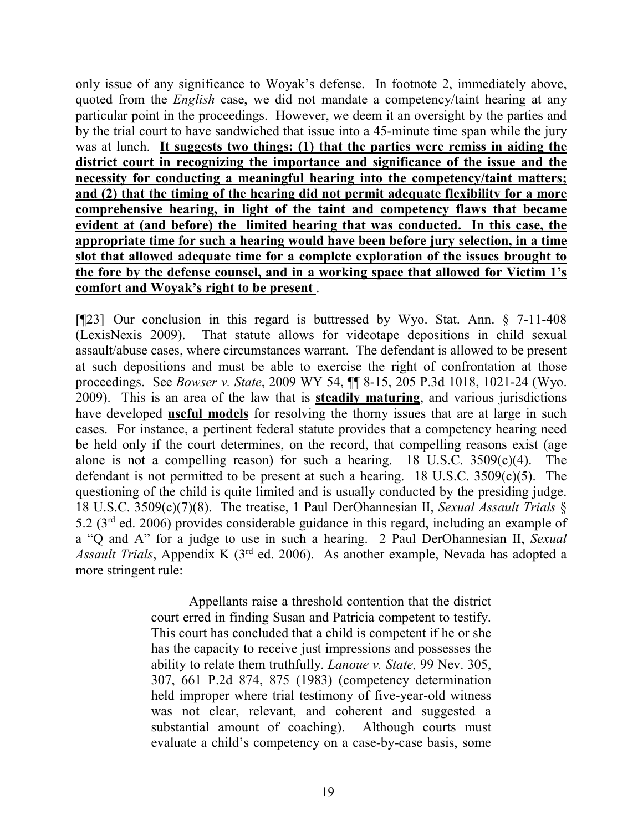only issue of any significance to Woyak's defense. In footnote 2, immediately above, quoted from the *English* case, we did not mandate a competency/taint hearing at any particular point in the proceedings. However, we deem it an oversight by the parties and by the trial court to have sandwiched that issue into a 45-minute time span while the jury was at lunch. **It suggests two things: (1) that the parties were remiss in aiding the district court in recognizing the importance and significance of the issue and the necessity for conducting a meaningful hearing into the competency/taint matters; and (2) that the timing of the hearing did not permit adequate flexibility for a more comprehensive hearing, in light of the taint and competency flaws that became evident at (and before) the limited hearing that was conducted. In this case, the appropriate time for such a hearing would have been before jury selection, in a time slot that allowed adequate time for a complete exploration of the issues brought to the fore by the defense counsel, and in a working space that allowed for Victim 1's comfort and Woyak's right to be present** .

[¶23] Our conclusion in this regard is buttressed by Wyo. Stat. Ann. § 7-11-408 (LexisNexis 2009). That statute allows for videotape depositions in child sexual assault/abuse cases, where circumstances warrant. The defendant is allowed to be present at such depositions and must be able to exercise the right of confrontation at those proceedings. See *Bowser v. State*, 2009 WY 54, ¶¶ 8-15, 205 P.3d 1018, 1021-24 (Wyo. 2009). This is an area of the law that is **steadily maturing**, and various jurisdictions have developed **useful models** for resolving the thorny issues that are at large in such cases. For instance, a pertinent federal statute provides that a competency hearing need be held only if the court determines, on the record, that compelling reasons exist (age alone is not a compelling reason) for such a hearing. 18 U.S.C.  $3509(c)(4)$ . The defendant is not permitted to be present at such a hearing. 18 U.S.C. 3509(c)(5). The questioning of the child is quite limited and is usually conducted by the presiding judge. 18 U.S.C. 3509(c)(7)(8). The treatise, 1 Paul DerOhannesian II, *Sexual Assault Trials* § 5.2 (3rd ed. 2006) provides considerable guidance in this regard, including an example of a "Q and A" for a judge to use in such a hearing. 2 Paul DerOhannesian II, *Sexual Assault Trials*, Appendix K (3rd ed. 2006). As another example, Nevada has adopted a more stringent rule:

> Appellants raise a threshold contention that the district court erred in finding Susan and Patricia competent to testify. This court has concluded that a child is competent if he or she has the capacity to receive just impressions and possesses the ability to relate them truthfully. *[Lanoue v. State,](http://www.westlaw.com/Find/Default.wl?rs=dfa1.0&vr=2.0&DB=661&FindType=Y&ReferencePositionType=S&SerialNum=1983119073&ReferencePosition=875)* [99 Nev. 305,](http://www.westlaw.com/Find/Default.wl?rs=dfa1.0&vr=2.0&DB=661&FindType=Y&ReferencePositionType=S&SerialNum=1983119073&ReferencePosition=875)  [307, 661 P.2d 874, 875 \(1983\)](http://www.westlaw.com/Find/Default.wl?rs=dfa1.0&vr=2.0&DB=661&FindType=Y&ReferencePositionType=S&SerialNum=1983119073&ReferencePosition=875) (competency determination held improper where trial testimony of five-year-old witness was not clear, relevant, and coherent and suggested a substantial amount of coaching). Although courts must evaluate a child's competency on a case-by-case basis, some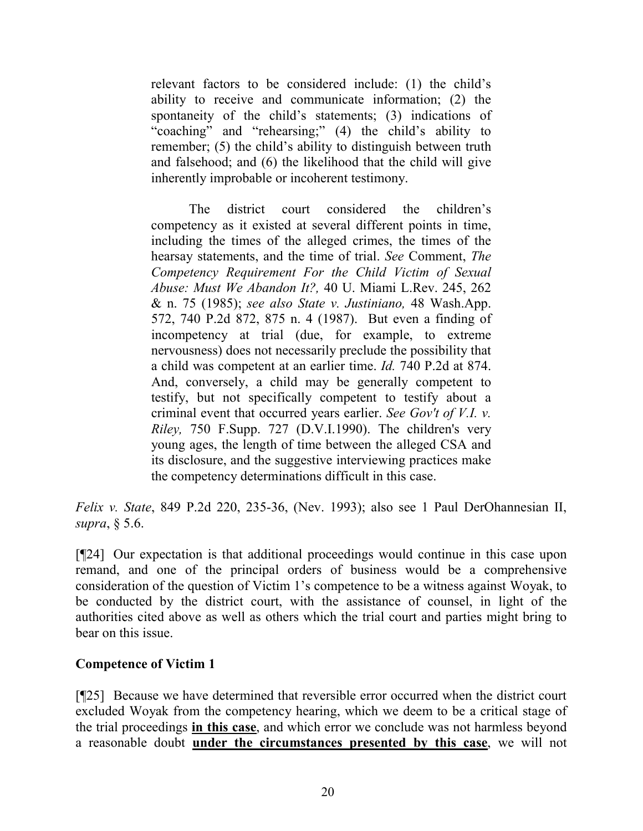relevant factors to be considered include: (1) the child's ability to receive and communicate information; (2) the spontaneity of the child's statements; (3) indications of "coaching" and "rehearsing;" (4) the child's ability to remember; (5) the child's ability to distinguish between truth and falsehood; and (6) the likelihood that the child will give inherently improbable or incoherent testimony.

The district court considered the children's competency as it existed at several different points in time, including the times of the alleged crimes, the times of the hearsay statements, and the time of trial. *See* Comment, *[The](http://www.westlaw.com/Find/Default.wl?rs=dfa1.0&vr=2.0&DB=3194&FindType=Y&ReferencePositionType=S&SerialNum=0101840459&ReferencePosition=262)  [Competency Requirement For the Child Victim of Sexual](http://www.westlaw.com/Find/Default.wl?rs=dfa1.0&vr=2.0&DB=3194&FindType=Y&ReferencePositionType=S&SerialNum=0101840459&ReferencePosition=262)  [Abuse: Must We Abandon It?,](http://www.westlaw.com/Find/Default.wl?rs=dfa1.0&vr=2.0&DB=3194&FindType=Y&ReferencePositionType=S&SerialNum=0101840459&ReferencePosition=262)* [40 U. Miami L.Rev. 245, 262](http://www.westlaw.com/Find/Default.wl?rs=dfa1.0&vr=2.0&DB=3194&FindType=Y&ReferencePositionType=S&SerialNum=0101840459&ReferencePosition=262)  [& n. 75 \(1985\);](http://www.westlaw.com/Find/Default.wl?rs=dfa1.0&vr=2.0&DB=3194&FindType=Y&ReferencePositionType=S&SerialNum=0101840459&ReferencePosition=262) *see also [State v. Justiniano,](http://www.westlaw.com/Find/Default.wl?rs=dfa1.0&vr=2.0&DB=661&FindType=Y&ReferencePositionType=S&SerialNum=1987091725&ReferencePosition=875)* [48 Wash.App.](http://www.westlaw.com/Find/Default.wl?rs=dfa1.0&vr=2.0&DB=661&FindType=Y&ReferencePositionType=S&SerialNum=1987091725&ReferencePosition=875)  [572, 740 P.2d 872, 875 n. 4 \(1987\).](http://www.westlaw.com/Find/Default.wl?rs=dfa1.0&vr=2.0&DB=661&FindType=Y&ReferencePositionType=S&SerialNum=1987091725&ReferencePosition=875) But even a finding of incompetency at trial (due, for example, to extreme nervousness) does not necessarily preclude the possibility that a child was competent at an earlier time. *[Id.](http://www.westlaw.com/Find/Default.wl?rs=dfa1.0&vr=2.0&DB=661&FindType=Y&ReferencePositionType=S&SerialNum=1987091725&ReferencePosition=874)* [740 P.2d at 874.](http://www.westlaw.com/Find/Default.wl?rs=dfa1.0&vr=2.0&DB=661&FindType=Y&ReferencePositionType=S&SerialNum=1987091725&ReferencePosition=874) And, conversely, a child may be generally competent to testify, but not specifically competent to testify about a criminal event that occurred years earlier. *See [Gov't of V.I. v.](http://www.westlaw.com/Find/Default.wl?rs=dfa1.0&vr=2.0&DB=345&FindType=Y&SerialNum=1990164709)  [Riley,](http://www.westlaw.com/Find/Default.wl?rs=dfa1.0&vr=2.0&DB=345&FindType=Y&SerialNum=1990164709)* [750 F.Supp. 727 \(D.V.I.1990\).](http://www.westlaw.com/Find/Default.wl?rs=dfa1.0&vr=2.0&DB=345&FindType=Y&SerialNum=1990164709) The children's very young ages, the length of time between the alleged CSA and its disclosure, and the suggestive interviewing practices make the competency determinations difficult in this case.

*Felix v. State*, 849 P.2d 220, 235-36, (Nev. 1993); also see 1 Paul DerOhannesian II, *supra*, § 5.6.

[¶24] Our expectation is that additional proceedings would continue in this case upon remand, and one of the principal orders of business would be a comprehensive consideration of the question of Victim 1's competence to be a witness against Woyak, to be conducted by the district court, with the assistance of counsel, in light of the authorities cited above as well as others which the trial court and parties might bring to bear on this issue.

## **Competence of Victim 1**

[¶25] Because we have determined that reversible error occurred when the district court excluded Woyak from the competency hearing, which we deem to be a critical stage of the trial proceedings **in this case**, and which error we conclude was not harmless beyond a reasonable doubt **under the circumstances presented by this case**, we will not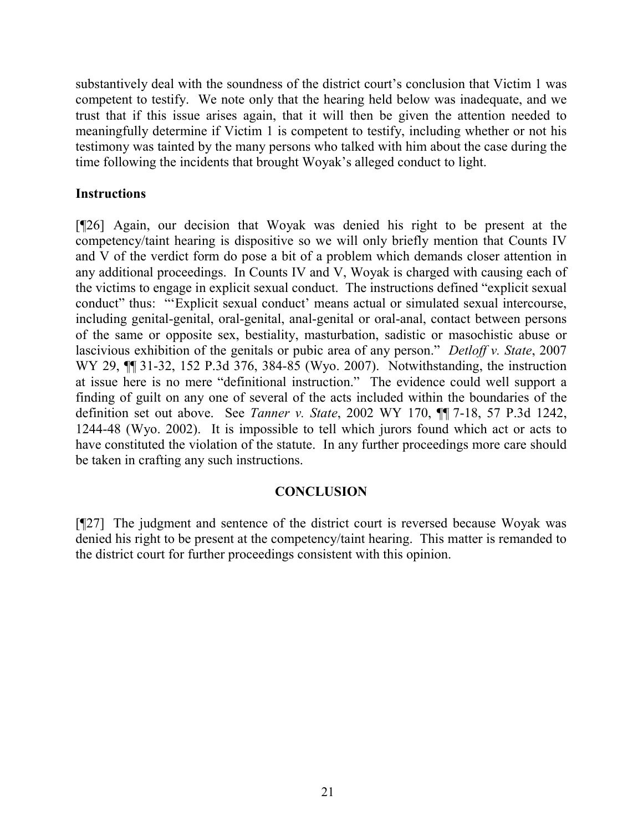substantively deal with the soundness of the district court's conclusion that Victim 1 was competent to testify. We note only that the hearing held below was inadequate, and we trust that if this issue arises again, that it will then be given the attention needed to meaningfully determine if Victim 1 is competent to testify, including whether or not his testimony was tainted by the many persons who talked with him about the case during the time following the incidents that brought Woyak's alleged conduct to light.

# **Instructions**

[¶26] Again, our decision that Woyak was denied his right to be present at the competency/taint hearing is dispositive so we will only briefly mention that Counts IV and V of the verdict form do pose a bit of a problem which demands closer attention in any additional proceedings. In Counts IV and V, Woyak is charged with causing each of the victims to engage in explicit sexual conduct. The instructions defined "explicit sexual conduct" thus: "'Explicit sexual conduct' means actual or simulated sexual intercourse, including genital-genital, oral-genital, anal-genital or oral-anal, contact between persons of the same or opposite sex, bestiality, masturbation, sadistic or masochistic abuse or lascivious exhibition of the genitals or pubic area of any person." *Detloff v. State*, 2007 WY 29, ¶¶ 31-32, 152 P.3d 376, 384-85 (Wyo. 2007). Notwithstanding, the instruction at issue here is no mere "definitional instruction." The evidence could well support a finding of guilt on any one of several of the acts included within the boundaries of the definition set out above. See *Tanner v. State*, 2002 WY 170, ¶¶ 7-18, 57 P.3d 1242, 1244-48 (Wyo. 2002). It is impossible to tell which jurors found which act or acts to have constituted the violation of the statute. In any further proceedings more care should be taken in crafting any such instructions.

# **CONCLUSION**

[¶27] The judgment and sentence of the district court is reversed because Woyak was denied his right to be present at the competency/taint hearing. This matter is remanded to the district court for further proceedings consistent with this opinion.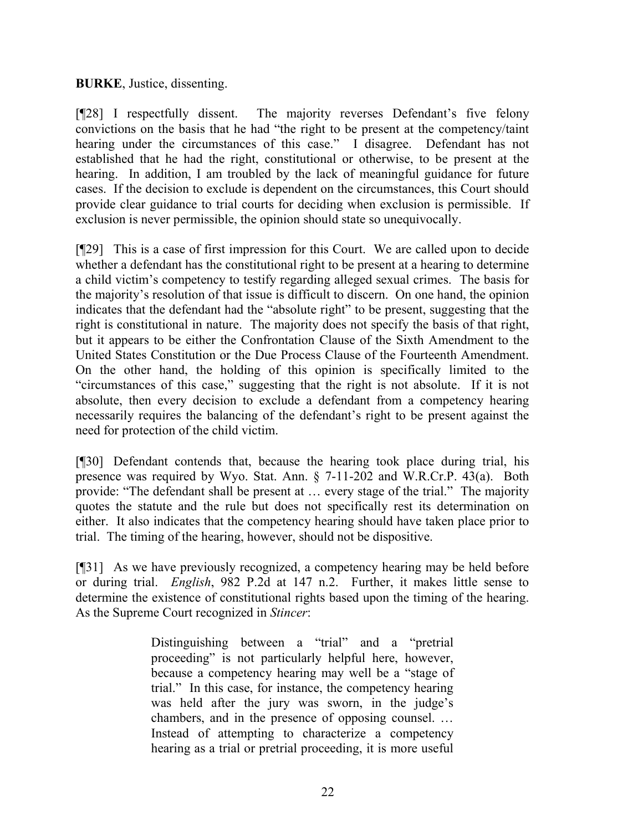### **BURKE**, Justice, dissenting.

[¶28] I respectfully dissent. The majority reverses Defendant's five felony convictions on the basis that he had "the right to be present at the competency/taint hearing under the circumstances of this case." I disagree. Defendant has not established that he had the right, constitutional or otherwise, to be present at the hearing. In addition, I am troubled by the lack of meaningful guidance for future cases. If the decision to exclude is dependent on the circumstances, this Court should provide clear guidance to trial courts for deciding when exclusion is permissible. If exclusion is never permissible, the opinion should state so unequivocally.

[¶29] This is a case of first impression for this Court. We are called upon to decide whether a defendant has the constitutional right to be present at a hearing to determine a child victim's competency to testify regarding alleged sexual crimes. The basis for the majority's resolution of that issue is difficult to discern. On one hand, the opinion indicates that the defendant had the "absolute right" to be present, suggesting that the right is constitutional in nature. The majority does not specify the basis of that right, but it appears to be either the Confrontation Clause of the Sixth Amendment to the United States Constitution or the Due Process Clause of the Fourteenth Amendment. On the other hand, the holding of this opinion is specifically limited to the "circumstances of this case," suggesting that the right is not absolute. If it is not absolute, then every decision to exclude a defendant from a competency hearing necessarily requires the balancing of the defendant's right to be present against the need for protection of the child victim.

[¶30] Defendant contends that, because the hearing took place during trial, his presence was required by Wyo. Stat. Ann. § 7-11-202 and W.R.Cr.P. 43(a). Both provide: "The defendant shall be present at … every stage of the trial." The majority quotes the statute and the rule but does not specifically rest its determination on either. It also indicates that the competency hearing should have taken place prior to trial. The timing of the hearing, however, should not be dispositive.

[¶31] As we have previously recognized, a competency hearing may be held before or during trial. *English*, 982 P.2d at 147 n.2. Further, it makes little sense to determine the existence of constitutional rights based upon the timing of the hearing. As the Supreme Court recognized in *Stincer*:

> Distinguishing between a "trial" and a "pretrial proceeding" is not particularly helpful here, however, because a competency hearing may well be a "stage of trial." In this case, for instance, the competency hearing was held after the jury was sworn, in the judge's chambers, and in the presence of opposing counsel. … Instead of attempting to characterize a competency hearing as a trial or pretrial proceeding, it is more useful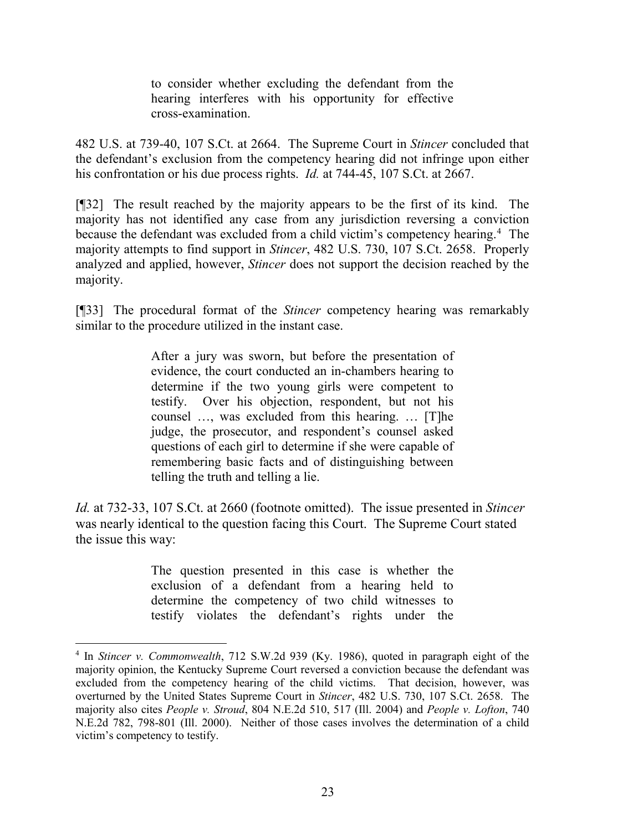to consider whether excluding the defendant from the hearing interferes with his opportunity for effective cross-examination.

482 U.S. at 739-40, 107 S.Ct. at 2664. The Supreme Court in *Stincer* concluded that the defendant's exclusion from the competency hearing did not infringe upon either his confrontation or his due process rights. *Id.* at 744-45, 107 S.Ct. at 2667.

[¶32] The result reached by the majority appears to be the first of its kind. The majority has not identified any case from any jurisdiction reversing a conviction because the defendant was excluded from a child victim's competency hearing.<sup>[4](#page-23-0)</sup> The majority attempts to find support in *Stincer*, 482 U.S. 730, 107 S.Ct. 2658. Properly analyzed and applied, however, *Stincer* does not support the decision reached by the majority.

[¶33] The procedural format of the *Stincer* competency hearing was remarkably similar to the procedure utilized in the instant case.

> After a jury was sworn, but before the presentation of evidence, the court conducted an in-chambers hearing to determine if the two young girls were competent to testify. Over his objection, respondent, but not his counsel …, was excluded from this hearing. … [T]he judge, the prosecutor, and respondent's counsel asked questions of each girl to determine if she were capable of remembering basic facts and of distinguishing between telling the truth and telling a lie.

*Id.* at 732-33, 107 S.Ct. at 2660 (footnote omitted). The issue presented in *Stincer* was nearly identical to the question facing this Court. The Supreme Court stated the issue this way:

> The question presented in this case is whether the exclusion of a defendant from a hearing held to determine the competency of two child witnesses to testify violates the defendant's rights under the

<span id="page-23-0"></span> <sup>4</sup> In *Stincer v. Commonwealth*, 712 S.W.2d 939 (Ky. 1986), quoted in paragraph eight of the majority opinion, the Kentucky Supreme Court reversed a conviction because the defendant was excluded from the competency hearing of the child victims. That decision, however, was overturned by the United States Supreme Court in *Stincer*, 482 U.S. 730, 107 S.Ct. 2658. The majority also cites *People v. Stroud*, 804 N.E.2d 510, 517 (Ill. 2004) and *People v. Lofton*, 740 N.E.2d 782, 798-801 (Ill. 2000). Neither of those cases involves the determination of a child victim's competency to testify.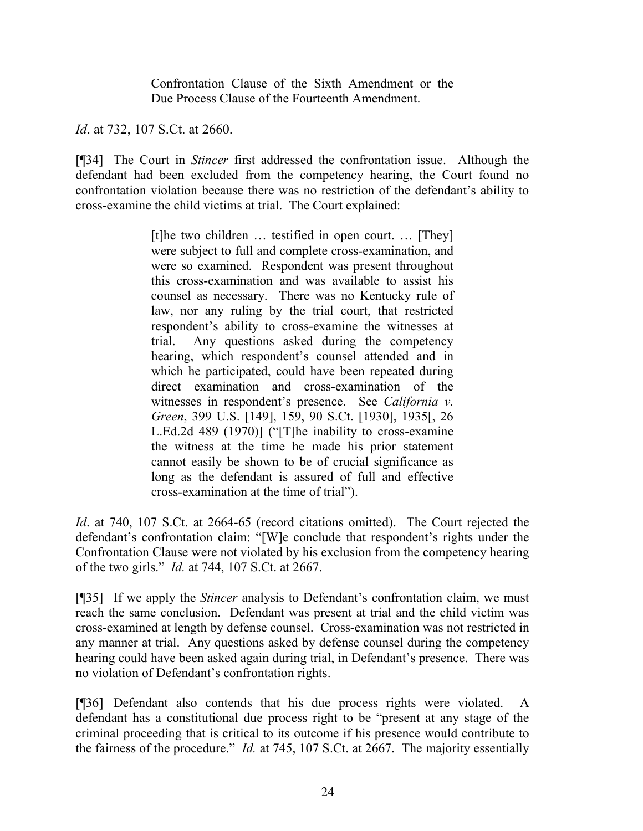Confrontation Clause of the Sixth Amendment or the Due Process Clause of the Fourteenth Amendment.

*Id.* at 732, 107 S.Ct. at 2660.

[¶34] The Court in *Stincer* first addressed the confrontation issue. Although the defendant had been excluded from the competency hearing, the Court found no confrontation violation because there was no restriction of the defendant's ability to cross-examine the child victims at trial. The Court explained:

> [t]he two children … testified in open court. … [They] were subject to full and complete cross-examination, and were so examined. Respondent was present throughout this cross-examination and was available to assist his counsel as necessary. There was no Kentucky rule of law, nor any ruling by the trial court, that restricted respondent's ability to cross-examine the witnesses at trial. Any questions asked during the competency hearing, which respondent's counsel attended and in which he participated, could have been repeated during direct examination and cross-examination of the witnesses in respondent's presence. See *California v. Green*, 399 U.S. [149], 159, 90 S.Ct. [1930], 1935[, 26 L.Ed.2d 489 (1970)] ("[T]he inability to cross-examine the witness at the time he made his prior statement cannot easily be shown to be of crucial significance as long as the defendant is assured of full and effective cross-examination at the time of trial").

*Id.* at 740, 107 S.Ct. at 2664-65 (record citations omitted). The Court rejected the defendant's confrontation claim: "[W]e conclude that respondent's rights under the Confrontation Clause were not violated by his exclusion from the competency hearing of the two girls." *Id.* at 744, 107 S.Ct. at 2667.

[¶35] If we apply the *Stincer* analysis to Defendant's confrontation claim, we must reach the same conclusion. Defendant was present at trial and the child victim was cross-examined at length by defense counsel. Cross-examination was not restricted in any manner at trial. Any questions asked by defense counsel during the competency hearing could have been asked again during trial, in Defendant's presence. There was no violation of Defendant's confrontation rights.

[¶36] Defendant also contends that his due process rights were violated. A defendant has a constitutional due process right to be "present at any stage of the criminal proceeding that is critical to its outcome if his presence would contribute to the fairness of the procedure." *Id.* at 745, 107 S.Ct. at 2667. The majority essentially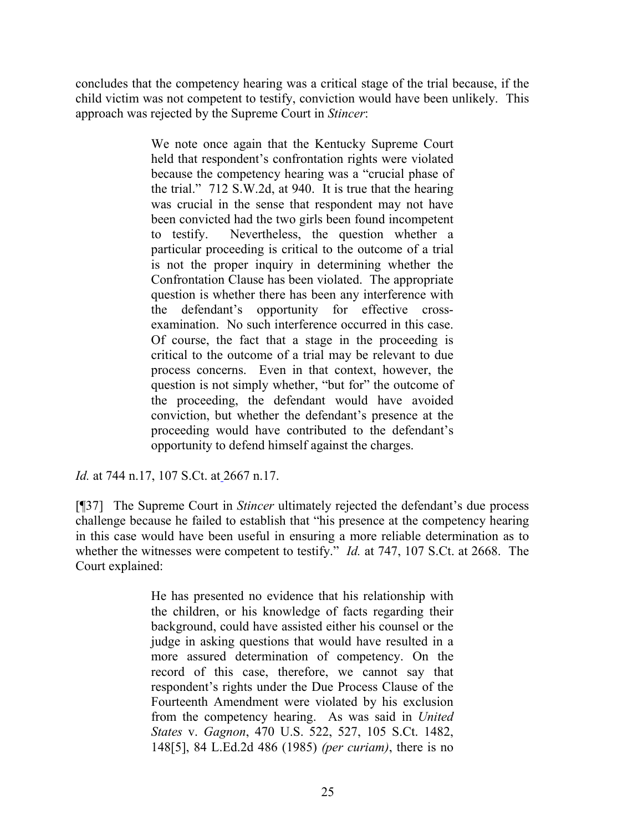concludes that the competency hearing was a critical stage of the trial because, if the child victim was not competent to testify, conviction would have been unlikely. This approach was rejected by the Supreme Court in *Stincer*:

> We note once again that the Kentucky Supreme Court held that respondent's confrontation rights were violated because the competency hearing was a "crucial phase of the trial." 712 S.W.2d, at 940. It is true that the hearing was crucial in the sense that respondent may not have been convicted had the two girls been found incompetent to testify. Nevertheless, the question whether a particular proceeding is critical to the outcome of a trial is not the proper inquiry in determining whether the Confrontation Clause has been violated. The appropriate question is whether there has been any interference with the defendant's opportunity for effective crossexamination. No such interference occurred in this case. Of course, the fact that a stage in the proceeding is critical to the outcome of a trial may be relevant to due process concerns. Even in that context, however, the question is not simply whether, "but for" the outcome of the proceeding, the defendant would have avoided conviction, but whether the defendant's presence at the proceeding would have contributed to the defendant's opportunity to defend himself against the charges.

*Id.* [at 744 n.17, 107 S.Ct. at](http://www.lexis.com/research/xlink?app=00075&view=full&searchtype=get&search=482+U.S.+730%252520at%252520744%2520at%2520744) 2667 n.17.

[¶37] The Supreme Court in *Stincer* ultimately rejected the defendant's due process challenge because he failed to establish that "his presence at the competency hearing in this case would have been useful in ensuring a more reliable determination as to whether the witnesses were competent to testify." *Id.* [at 747, 107 S.Ct. at 2668.](http://www.lexis.com/research/xlink?app=00075&view=full&searchtype=get&search=482+U.S.+730%2520at%2520746) The Court explained:

> He has presented no evidence that his relationship with the children, or his knowledge of facts regarding their background, could have assisted either his counsel or the judge in asking questions that would have resulted in a more assured determination of competency. On the record of this case, therefore, we cannot say that respondent's rights under the [Due Process Clause of the](https://www.lexis.com/research/buttonTFLink?_m=4f1013b8c9fe37a0f0c9934dcf1de7c7&_xfercite=%3ccite%20cc%3d%22USA%22%3e%3c%21%5bCDATA%5b482%20U.S.%20730%5d%5d%3e%3c%2fcite%3e&_butType=4&_butStat=0&_butNum=263&_butInline=1&_butinfo=U.S.%20CONST.%20AMEND.%2014&_fmtstr=FULL&docnum=1&_startdoc=1&wchp=dGLzVtb-zSkAB&_md5=96d54ec74bb499a08b5cc045fe2c8fa8)  [Fourteenth Amendment](https://www.lexis.com/research/buttonTFLink?_m=4f1013b8c9fe37a0f0c9934dcf1de7c7&_xfercite=%3ccite%20cc%3d%22USA%22%3e%3c%21%5bCDATA%5b482%20U.S.%20730%5d%5d%3e%3c%2fcite%3e&_butType=4&_butStat=0&_butNum=263&_butInline=1&_butinfo=U.S.%20CONST.%20AMEND.%2014&_fmtstr=FULL&docnum=1&_startdoc=1&wchp=dGLzVtb-zSkAB&_md5=96d54ec74bb499a08b5cc045fe2c8fa8) were violated by his exclusion from the competency hearing. As was said in *[United](https://www.lexis.com/research/buttonTFLink?_m=4f1013b8c9fe37a0f0c9934dcf1de7c7&_xfercite=%3ccite%20cc%3d%22USA%22%3e%3c%21%5bCDATA%5b482%20U.S.%20730%5d%5d%3e%3c%2fcite%3e&_butType=3&_butStat=2&_butNum=264&_butInline=1&_butinfo=%3ccite%20cc%3d%22USA%22%3e%3c%21%5bCDATA%5b470%20U.S.%20522%2c%20527%5d%5d%3e%3c%2fcite%3e&_fmtstr=FULL&docnum=1&_startdoc=1&wchp=dGLzVtb-zSkAB&_md5=37f82def2309adec3de5b0a16ac564b8)  States* v. *Gagnon*[, 470 U.S. 522, 527, 105 S.Ct. 1482,](https://www.lexis.com/research/buttonTFLink?_m=4f1013b8c9fe37a0f0c9934dcf1de7c7&_xfercite=%3ccite%20cc%3d%22USA%22%3e%3c%21%5bCDATA%5b482%20U.S.%20730%5d%5d%3e%3c%2fcite%3e&_butType=3&_butStat=2&_butNum=264&_butInline=1&_butinfo=%3ccite%20cc%3d%22USA%22%3e%3c%21%5bCDATA%5b470%20U.S.%20522%2c%20527%5d%5d%3e%3c%2fcite%3e&_fmtstr=FULL&docnum=1&_startdoc=1&wchp=dGLzVtb-zSkAB&_md5=37f82def2309adec3de5b0a16ac564b8)  [148\[5\], 84 L.Ed.2d 486 \(1985\)](https://www.lexis.com/research/buttonTFLink?_m=4f1013b8c9fe37a0f0c9934dcf1de7c7&_xfercite=%3ccite%20cc%3d%22USA%22%3e%3c%21%5bCDATA%5b482%20U.S.%20730%5d%5d%3e%3c%2fcite%3e&_butType=3&_butStat=2&_butNum=264&_butInline=1&_butinfo=%3ccite%20cc%3d%22USA%22%3e%3c%21%5bCDATA%5b470%20U.S.%20522%2c%20527%5d%5d%3e%3c%2fcite%3e&_fmtstr=FULL&docnum=1&_startdoc=1&wchp=dGLzVtb-zSkAB&_md5=37f82def2309adec3de5b0a16ac564b8) *(per curiam)*, there is no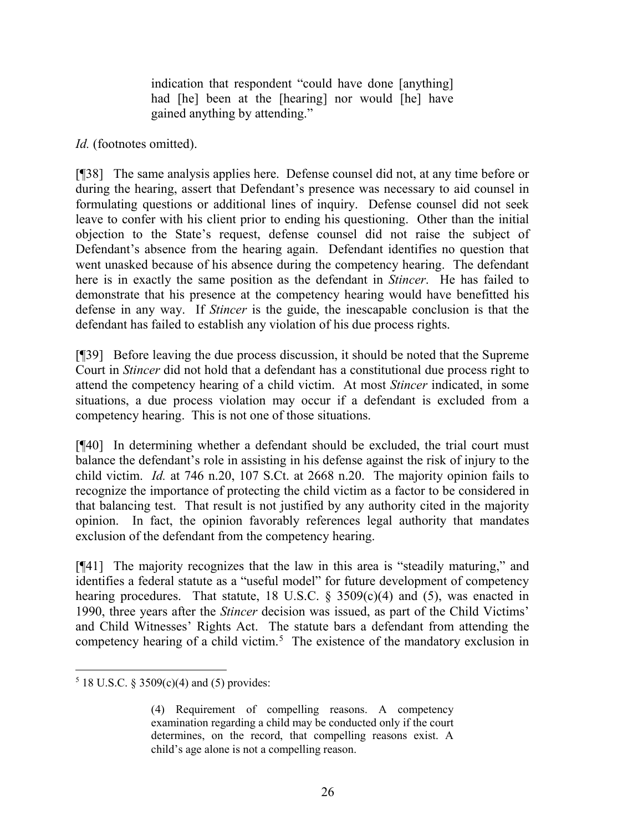indication that respondent "could have done [anything] had [he] been at the [hearing] nor would [he] have gained anything by attending."

## *Id.* (footnotes omitted).

[¶38] The same analysis applies here. Defense counsel did not, at any time before or during the hearing, assert that Defendant's presence was necessary to aid counsel in formulating questions or additional lines of inquiry. Defense counsel did not seek leave to confer with his client prior to ending his questioning. Other than the initial objection to the State's request, defense counsel did not raise the subject of Defendant's absence from the hearing again. Defendant identifies no question that went unasked because of his absence during the competency hearing. The defendant here is in exactly the same position as the defendant in *Stincer*. He has failed to demonstrate that his presence at the competency hearing would have benefitted his defense in any way. If *Stincer* is the guide, the inescapable conclusion is that the defendant has failed to establish any violation of his due process rights.

[¶39] Before leaving the due process discussion, it should be noted that the Supreme Court in *Stincer* did not hold that a defendant has a constitutional due process right to attend the competency hearing of a child victim. At most *Stincer* indicated, in some situations, a due process violation may occur if a defendant is excluded from a competency hearing. This is not one of those situations.

[¶40] In determining whether a defendant should be excluded, the trial court must balance the defendant's role in assisting in his defense against the risk of injury to the child victim. *Id.* at 746 n.20, 107 S.Ct. at 2668 n.20. The majority opinion fails to recognize the importance of protecting the child victim as a factor to be considered in that balancing test. That result is not justified by any authority cited in the majority opinion. In fact, the opinion favorably references legal authority that mandates exclusion of the defendant from the competency hearing.

[¶41] The majority recognizes that the law in this area is "steadily maturing," and identifies a federal statute as a "useful model" for future development of competency hearing procedures. That statute, 18 U.S.C.  $\S$  3509(c)(4) and (5), was enacted in 1990, three years after the *Stincer* decision was issued, as part of the Child Victims' and Child Witnesses' Rights Act. The statute bars a defendant from attending the competency hearing of a child victim.<sup>[5](#page-26-0)</sup> The existence of the mandatory exclusion in

<span id="page-26-0"></span> $5$  18 U.S.C. § 3509(c)(4) and (5) provides:

<sup>(4)</sup> Requirement of compelling reasons. A competency examination regarding a child may be conducted only if the court determines, on the record, that compelling reasons exist. A child's age alone is not a compelling reason.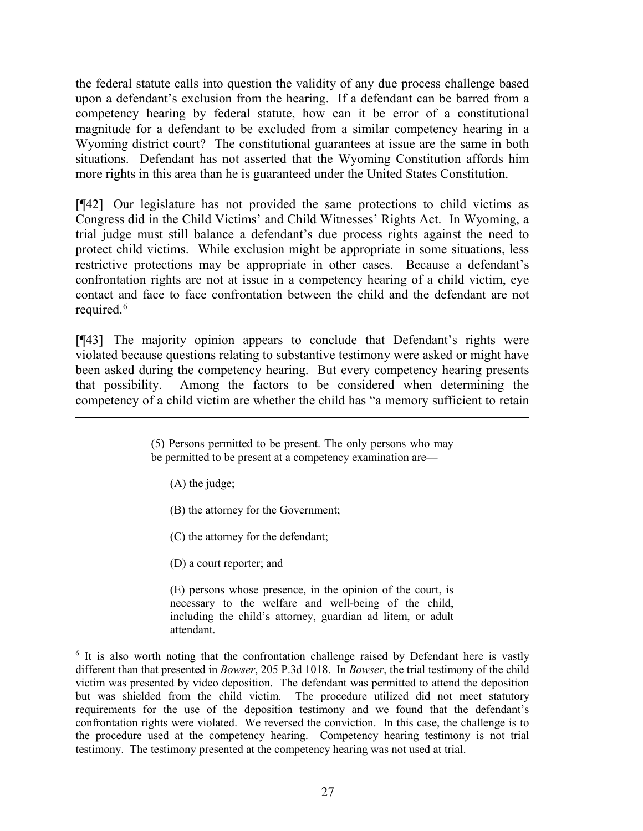the federal statute calls into question the validity of any due process challenge based upon a defendant's exclusion from the hearing. If a defendant can be barred from a competency hearing by federal statute, how can it be error of a constitutional magnitude for a defendant to be excluded from a similar competency hearing in a Wyoming district court? The constitutional guarantees at issue are the same in both situations. Defendant has not asserted that the Wyoming Constitution affords him more rights in this area than he is guaranteed under the United States Constitution.

[¶42] Our legislature has not provided the same protections to child victims as Congress did in the Child Victims' and Child Witnesses' Rights Act. In Wyoming, a trial judge must still balance a defendant's due process rights against the need to protect child victims. While exclusion might be appropriate in some situations, less restrictive protections may be appropriate in other cases. Because a defendant's confrontation rights are not at issue in a competency hearing of a child victim, eye contact and face to face confrontation between the child and the defendant are not required.<sup>[6](#page-27-0)</sup>

[¶43] The majority opinion appears to conclude that Defendant's rights were violated because questions relating to substantive testimony were asked or might have been asked during the competency hearing. But every competency hearing presents that possibility. Among the factors to be considered when determining the competency of a child victim are whether the child has "a memory sufficient to retain

(A) the judge;

 $\overline{a}$ 

- (B) the attorney for the Government;
- (C) the attorney for the defendant;
- (D) a court reporter; and

(E) persons whose presence, in the opinion of the court, is necessary to the welfare and well-being of the child, including the child's attorney, guardian ad litem, or adult attendant.

<span id="page-27-0"></span><sup>6</sup> It is also worth noting that the confrontation challenge raised by Defendant here is vastly different than that presented in *Bowser*, 205 P.3d 1018. In *Bowser*, the trial testimony of the child victim was presented by video deposition. The defendant was permitted to attend the deposition but was shielded from the child victim. The procedure utilized did not meet statutory requirements for the use of the deposition testimony and we found that the defendant's confrontation rights were violated. We reversed the conviction. In this case, the challenge is to the procedure used at the competency hearing. Competency hearing testimony is not trial testimony. The testimony presented at the competency hearing was not used at trial.

<sup>(5)</sup> Persons permitted to be present. The only persons who may be permitted to be present at a competency examination are—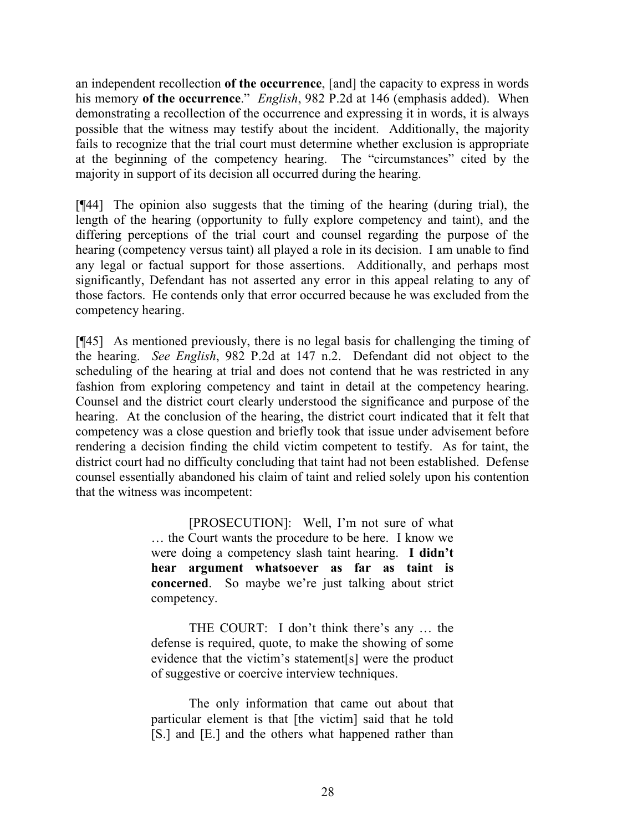an independent recollection **of the occurrence**, [and] the capacity to express in words his memory **of the occurrence**." *English*, 982 P.2d at 146 (emphasis added). When demonstrating a recollection of the occurrence and expressing it in words, it is always possible that the witness may testify about the incident. Additionally, the majority fails to recognize that the trial court must determine whether exclusion is appropriate at the beginning of the competency hearing. The "circumstances" cited by the majority in support of its decision all occurred during the hearing.

[¶44] The opinion also suggests that the timing of the hearing (during trial), the length of the hearing (opportunity to fully explore competency and taint), and the differing perceptions of the trial court and counsel regarding the purpose of the hearing (competency versus taint) all played a role in its decision. I am unable to find any legal or factual support for those assertions. Additionally, and perhaps most significantly, Defendant has not asserted any error in this appeal relating to any of those factors. He contends only that error occurred because he was excluded from the competency hearing.

[¶45] As mentioned previously, there is no legal basis for challenging the timing of the hearing. *See English*, 982 P.2d at 147 n.2. Defendant did not object to the scheduling of the hearing at trial and does not contend that he was restricted in any fashion from exploring competency and taint in detail at the competency hearing. Counsel and the district court clearly understood the significance and purpose of the hearing. At the conclusion of the hearing, the district court indicated that it felt that competency was a close question and briefly took that issue under advisement before rendering a decision finding the child victim competent to testify. As for taint, the district court had no difficulty concluding that taint had not been established. Defense counsel essentially abandoned his claim of taint and relied solely upon his contention that the witness was incompetent:

> [PROSECUTION]: Well, I'm not sure of what … the Court wants the procedure to be here. I know we were doing a competency slash taint hearing. **I didn't hear argument whatsoever as far as taint is concerned**. So maybe we're just talking about strict competency.

> THE COURT: I don't think there's any … the defense is required, quote, to make the showing of some evidence that the victim's statement[s] were the product of suggestive or coercive interview techniques.

> The only information that came out about that particular element is that [the victim] said that he told [S.] and [E.] and the others what happened rather than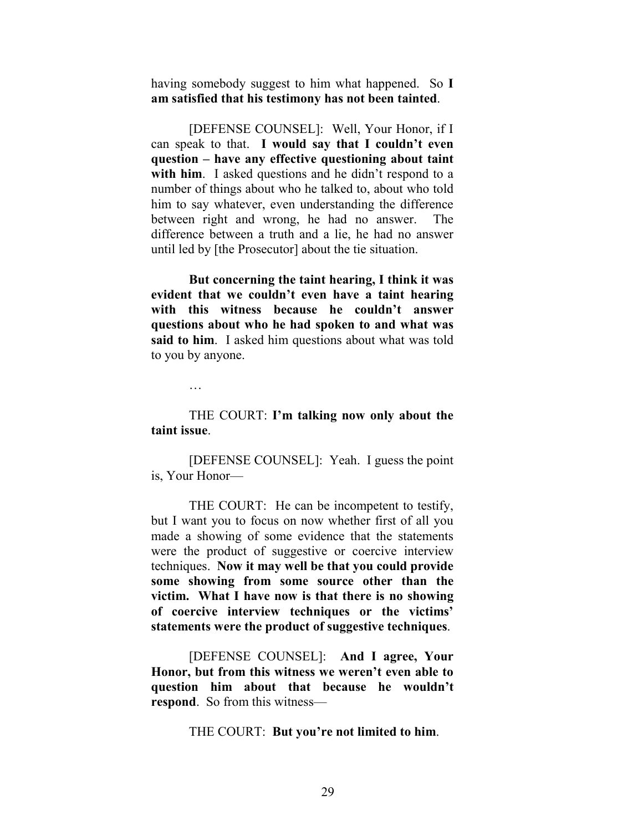having somebody suggest to him what happened. So **I am satisfied that his testimony has not been tainted**.

[DEFENSE COUNSEL]: Well, Your Honor, if I can speak to that. **I would say that I couldn't even question – have any effective questioning about taint with him**. I asked questions and he didn't respond to a number of things about who he talked to, about who told him to say whatever, even understanding the difference between right and wrong, he had no answer. The difference between a truth and a lie, he had no answer until led by [the Prosecutor] about the tie situation.

**But concerning the taint hearing, I think it was evident that we couldn't even have a taint hearing with this witness because he couldn't answer questions about who he had spoken to and what was said to him**. I asked him questions about what was told to you by anyone.

…

#### THE COURT: **I'm talking now only about the taint issue**.

[DEFENSE COUNSEL]: Yeah. I guess the point is, Your Honor—

THE COURT: He can be incompetent to testify, but I want you to focus on now whether first of all you made a showing of some evidence that the statements were the product of suggestive or coercive interview techniques. **Now it may well be that you could provide some showing from some source other than the victim. What I have now is that there is no showing of coercive interview techniques or the victims' statements were the product of suggestive techniques**.

[DEFENSE COUNSEL]: **And I agree, Your Honor, but from this witness we weren't even able to question him about that because he wouldn't respond**. So from this witness—

THE COURT: **But you're not limited to him**.